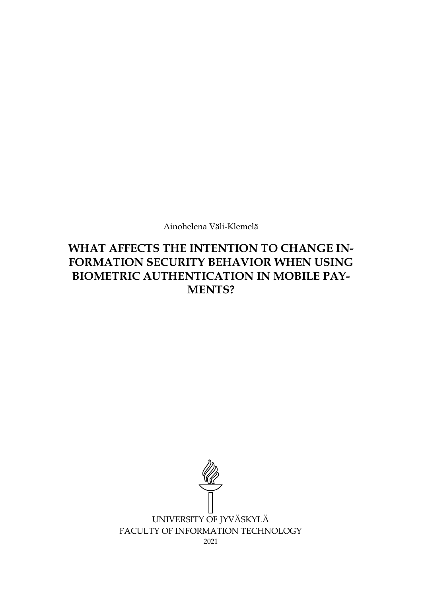Ainohelena Väli-Klemelä

# **WHAT AFFECTS THE INTENTION TO CHANGE IN-FORMATION SECURITY BEHAVIOR WHEN USING BIOMETRIC AUTHENTICATION IN MOBILE PAY-MENTS?**

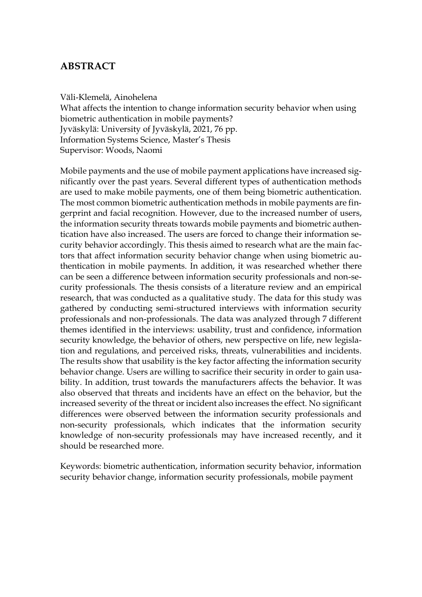# **ABSTRACT**

Väli-Klemelä, Ainohelena

What affects the intention to change information security behavior when using biometric authentication in mobile payments? Jyväskylä: University of Jyväskylä, 2021, 76 pp. Information Systems Science, Master's Thesis Supervisor: Woods, Naomi

Mobile payments and the use of mobile payment applications have increased significantly over the past years. Several different types of authentication methods are used to make mobile payments, one of them being biometric authentication. The most common biometric authentication methods in mobile payments are fingerprint and facial recognition. However, due to the increased number of users, the information security threats towards mobile payments and biometric authentication have also increased. The users are forced to change their information security behavior accordingly. This thesis aimed to research what are the main factors that affect information security behavior change when using biometric authentication in mobile payments. In addition, it was researched whether there can be seen a difference between information security professionals and non-security professionals. The thesis consists of a literature review and an empirical research, that was conducted as a qualitative study. The data for this study was gathered by conducting semi-structured interviews with information security professionals and non-professionals. The data was analyzed through 7 different themes identified in the interviews: usability, trust and confidence, information security knowledge, the behavior of others, new perspective on life, new legislation and regulations, and perceived risks, threats, vulnerabilities and incidents. The results show that usability is the key factor affecting the information security behavior change. Users are willing to sacrifice their security in order to gain usability. In addition, trust towards the manufacturers affects the behavior. It was also observed that threats and incidents have an effect on the behavior, but the increased severity of the threat or incident also increases the effect. No significant differences were observed between the information security professionals and non-security professionals, which indicates that the information security knowledge of non-security professionals may have increased recently, and it should be researched more.

Keywords: biometric authentication, information security behavior, information security behavior change, information security professionals, mobile payment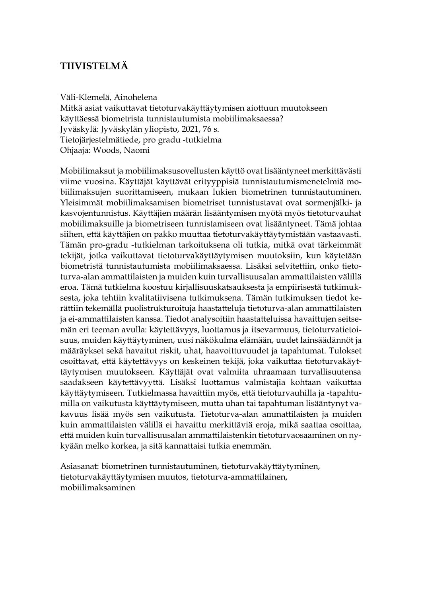# **TIIVISTELMÄ**

### Väli-Klemelä, Ainohelena

Mitkä asiat vaikuttavat tietoturvakäyttäytymisen aiottuun muutokseen käyttäessä biometrista tunnistautumista mobiilimaksaessa? Jyväskylä: Jyväskylän yliopisto, 2021, 76 s. Tietojärjestelmätiede, pro gradu -tutkielma Ohjaaja: Woods, Naomi

Mobiilimaksut ja mobiilimaksusovellusten käyttö ovat lisääntyneet merkittävästi viime vuosina. Käyttäjät käyttävät erityyppisiä tunnistautumismenetelmiä mobiilimaksujen suorittamiseen, mukaan lukien biometrinen tunnistautuminen. Yleisimmät mobiilimaksamisen biometriset tunnistustavat ovat sormenjälki- ja kasvojentunnistus. Käyttäjien määrän lisääntymisen myötä myös tietoturvauhat mobiilimaksuille ja biometriseen tunnistamiseen ovat lisääntyneet. Tämä johtaa siihen, että käyttäjien on pakko muuttaa tietoturvakäyttäytymistään vastaavasti. Tämän pro-gradu -tutkielman tarkoituksena oli tutkia, mitkä ovat tärkeimmät tekijät, jotka vaikuttavat tietoturvakäyttäytymisen muutoksiin, kun käytetään biometristä tunnistautumista mobiilimaksaessa. Lisäksi selvitettiin, onko tietoturva-alan ammattilaisten ja muiden kuin turvallisuusalan ammattilaisten välillä eroa. Tämä tutkielma koostuu kirjallisuuskatsauksesta ja empiirisestä tutkimuksesta, joka tehtiin kvalitatiivisena tutkimuksena. Tämän tutkimuksen tiedot kerättiin tekemällä puolistrukturoituja haastatteluja tietoturva-alan ammattilaisten ja ei-ammattilaisten kanssa. Tiedot analysoitiin haastatteluissa havaittujen seitsemän eri teeman avulla: käytettävyys, luottamus ja itsevarmuus, tietoturvatietoisuus, muiden käyttäytyminen, uusi näkökulma elämään, uudet lainsäädännöt ja määräykset sekä havaitut riskit, uhat, haavoittuvuudet ja tapahtumat. Tulokset osoittavat, että käytettävyys on keskeinen tekijä, joka vaikuttaa tietoturvakäyttäytymisen muutokseen. Käyttäjät ovat valmiita uhraamaan turvallisuutensa saadakseen käytettävyyttä. Lisäksi luottamus valmistajia kohtaan vaikuttaa käyttäytymiseen. Tutkielmassa havaittiin myös, että tietoturvauhilla ja -tapahtumilla on vaikutusta käyttäytymiseen, mutta uhan tai tapahtuman lisääntynyt vakavuus lisää myös sen vaikutusta. Tietoturva-alan ammattilaisten ja muiden kuin ammattilaisten välillä ei havaittu merkittäviä eroja, mikä saattaa osoittaa, että muiden kuin turvallisuusalan ammattilaistenkin tietoturvaosaaminen on nykyään melko korkea, ja sitä kannattaisi tutkia enemmän.

Asiasanat: biometrinen tunnistautuminen, tietoturvakäyttäytyminen, tietoturvakäyttäytymisen muutos, tietoturva-ammattilainen, mobiilimaksaminen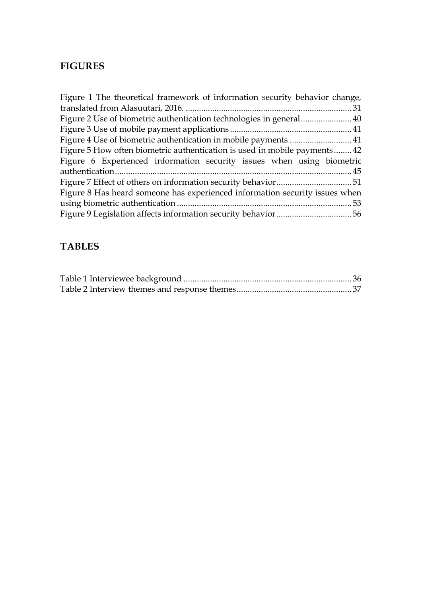# **FIGURES**

| Figure 1 The theoretical framework of information security behavior change, |  |
|-----------------------------------------------------------------------------|--|
|                                                                             |  |
|                                                                             |  |
|                                                                             |  |
|                                                                             |  |
| Figure 5 How often biometric authentication is used in mobile payments42    |  |
| Figure 6 Experienced information security issues when using biometric       |  |
|                                                                             |  |
|                                                                             |  |
| Figure 8 Has heard someone has experienced information security issues when |  |
|                                                                             |  |
|                                                                             |  |

# **TABLES**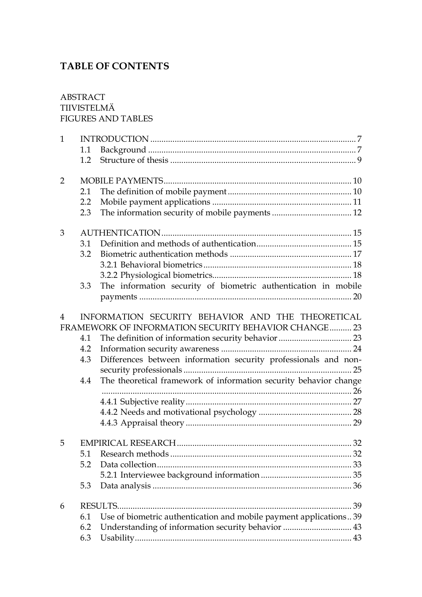# **TABLE OF CONTENTS**

## ABSTRACT TIIVISTELMÄ FIGURES AND TABLES

| $\mathbf{1}$   |     |                                                                   |  |  |
|----------------|-----|-------------------------------------------------------------------|--|--|
|                | 1.1 |                                                                   |  |  |
|                | 1.2 |                                                                   |  |  |
| $\overline{2}$ |     |                                                                   |  |  |
|                | 2.1 |                                                                   |  |  |
|                | 2.2 |                                                                   |  |  |
|                | 2.3 |                                                                   |  |  |
| 3              |     | AUTHENTICATION                                                    |  |  |
|                | 3.1 |                                                                   |  |  |
|                | 3.2 |                                                                   |  |  |
|                |     |                                                                   |  |  |
|                |     |                                                                   |  |  |
|                | 3.3 | The information security of biometric authentication in mobile    |  |  |
|                |     |                                                                   |  |  |
| 4              |     | INFORMATION SECURITY BEHAVIOR AND THE THEORETICAL                 |  |  |
|                |     | FRAMEWORK OF INFORMATION SECURITY BEHAVIOR CHANGE 23              |  |  |
|                | 4.1 |                                                                   |  |  |
|                | 4.2 |                                                                   |  |  |
|                | 4.3 | Differences between information security professionals and non-   |  |  |
|                |     |                                                                   |  |  |
|                | 4.4 | The theoretical framework of information security behavior change |  |  |
|                |     |                                                                   |  |  |
|                |     |                                                                   |  |  |
|                |     |                                                                   |  |  |
| 5              |     |                                                                   |  |  |
|                | 5.1 |                                                                   |  |  |
|                | 5.2 |                                                                   |  |  |
|                |     |                                                                   |  |  |
|                | 5.3 |                                                                   |  |  |
| 6              |     |                                                                   |  |  |
|                | 6.1 | Use of biometric authentication and mobile payment applications39 |  |  |
|                | 6.2 | Understanding of information security behavior  43                |  |  |
|                | 6.3 |                                                                   |  |  |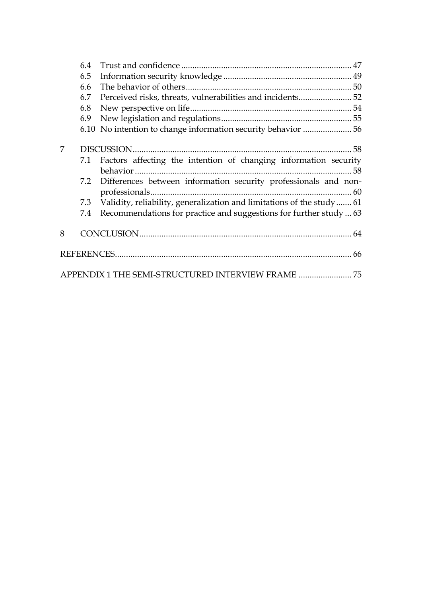|   | 6.4 |                                                                       |
|---|-----|-----------------------------------------------------------------------|
|   | 6.5 |                                                                       |
|   | 6.6 |                                                                       |
|   | 6.7 | Perceived risks, threats, vulnerabilities and incidents 52            |
|   | 6.8 |                                                                       |
|   | 6.9 |                                                                       |
|   |     |                                                                       |
|   |     |                                                                       |
| 7 |     |                                                                       |
|   | 7.1 | Factors affecting the intention of changing information security      |
|   |     |                                                                       |
|   | 7.2 | Differences between information security professionals and non-       |
|   |     |                                                                       |
|   | 7.3 | Validity, reliability, generalization and limitations of the study 61 |
|   | 7.4 | Recommendations for practice and suggestions for further study  63    |
| 8 |     |                                                                       |
|   |     |                                                                       |
|   |     |                                                                       |
|   |     | APPENDIX 1 THE SEMI-STRUCTURED INTERVIEW FRAME  75                    |
|   |     |                                                                       |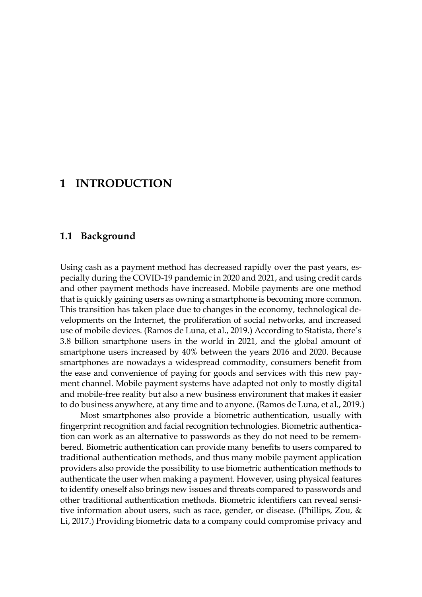# <span id="page-6-0"></span>**1 INTRODUCTION**

## <span id="page-6-1"></span>**1.1 Background**

Using cash as a payment method has decreased rapidly over the past years, especially during the COVID-19 pandemic in 2020 and 2021, and using credit cards and other payment methods have increased. Mobile payments are one method that is quickly gaining users as owning a smartphone is becoming more common. This transition has taken place due to changes in the economy, technological developments on the Internet, the proliferation of social networks, and increased use of mobile devices. (Ramos de Luna, et al., 2019.) According to Statista, there's 3.8 billion smartphone users in the world in 2021, and the global amount of smartphone users increased by 40% between the years 2016 and 2020. Because smartphones are nowadays a widespread commodity, consumers benefit from the ease and convenience of paying for goods and services with this new payment channel. Mobile payment systems have adapted not only to mostly digital and mobile-free reality but also a new business environment that makes it easier to do business anywhere, at any time and to anyone. (Ramos de Luna, et al., 2019.)

Most smartphones also provide a biometric authentication, usually with fingerprint recognition and facial recognition technologies. Biometric authentication can work as an alternative to passwords as they do not need to be remembered. Biometric authentication can provide many benefits to users compared to traditional authentication methods, and thus many mobile payment application providers also provide the possibility to use biometric authentication methods to authenticate the user when making a payment. However, using physical features to identify oneself also brings new issues and threats compared to passwords and other traditional authentication methods. Biometric identifiers can reveal sensitive information about users, such as race, gender, or disease. (Phillips, Zou, & Li, 2017.) Providing biometric data to a company could compromise privacy and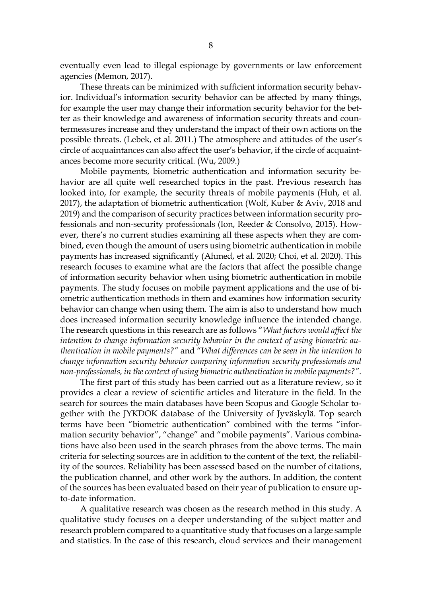eventually even lead to illegal espionage by governments or law enforcement agencies (Memon, 2017).

These threats can be minimized with sufficient information security behavior. Individual's information security behavior can be affected by many things, for example the user may change their information security behavior for the better as their knowledge and awareness of information security threats and countermeasures increase and they understand the impact of their own actions on the possible threats. (Lebek, et al. 2011.) The atmosphere and attitudes of the user's circle of acquaintances can also affect the user's behavior, if the circle of acquaintances become more security critical. (Wu, 2009.)

Mobile payments, biometric authentication and information security behavior are all quite well researched topics in the past. Previous research has looked into, for example, the security threats of mobile payments (Huh, et al. 2017), the adaptation of biometric authentication (Wolf, Kuber & Aviv, 2018 and 2019) and the comparison of security practices between information security professionals and non-security professionals (Ion, Reeder & Consolvo, 2015). However, there's no current studies examining all these aspects when they are combined, even though the amount of users using biometric authentication in mobile payments has increased significantly (Ahmed, et al. 2020; Choi, et al. 2020). This research focuses to examine what are the factors that affect the possible change of information security behavior when using biometric authentication in mobile payments. The study focuses on mobile payment applications and the use of biometric authentication methods in them and examines how information security behavior can change when using them. The aim is also to understand how much does increased information security knowledge influence the intended change. The research questions in this research are as follows "*What factors would affect the intention to change information security behavior in the context of using biometric authentication in mobile payments?"* and "*What differences can be seen in the intention to change information security behavior comparing information security professionals and non-professionals, in the context of using biometric authentication in mobile payments?".*

The first part of this study has been carried out as a literature review, so it provides a clear a review of scientific articles and literature in the field. In the search for sources the main databases have been Scopus and Google Scholar together with the JYKDOK database of the University of Jyväskylä. Top search terms have been "biometric authentication" combined with the terms "information security behavior", "change" and "mobile payments". Various combinations have also been used in the search phrases from the above terms. The main criteria for selecting sources are in addition to the content of the text, the reliability of the sources. Reliability has been assessed based on the number of citations, the publication channel, and other work by the authors. In addition, the content of the sources has been evaluated based on their year of publication to ensure upto-date information.

A qualitative research was chosen as the research method in this study. A qualitative study focuses on a deeper understanding of the subject matter and research problem compared to a quantitative study that focuses on a large sample and statistics. In the case of this research, cloud services and their management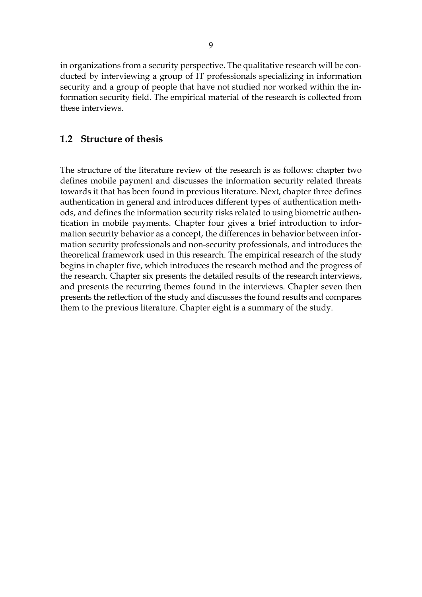in organizations from a security perspective. The qualitative research will be conducted by interviewing a group of IT professionals specializing in information security and a group of people that have not studied nor worked within the information security field. The empirical material of the research is collected from these interviews.

## <span id="page-8-0"></span>**1.2 Structure of thesis**

The structure of the literature review of the research is as follows: chapter two defines mobile payment and discusses the information security related threats towards it that has been found in previous literature. Next, chapter three defines authentication in general and introduces different types of authentication methods, and defines the information security risks related to using biometric authentication in mobile payments. Chapter four gives a brief introduction to information security behavior as a concept, the differences in behavior between information security professionals and non-security professionals, and introduces the theoretical framework used in this research. The empirical research of the study begins in chapter five, which introduces the research method and the progress of the research. Chapter six presents the detailed results of the research interviews, and presents the recurring themes found in the interviews. Chapter seven then presents the reflection of the study and discusses the found results and compares them to the previous literature. Chapter eight is a summary of the study.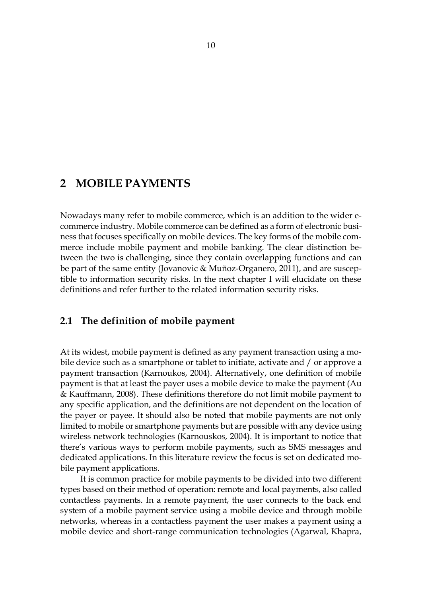# <span id="page-9-0"></span>**2 MOBILE PAYMENTS**

Nowadays many refer to mobile commerce, which is an addition to the wider ecommerce industry. Mobile commerce can be defined as a form of electronic business that focuses specifically on mobile devices. The key forms of the mobile commerce include mobile payment and mobile banking. The clear distinction between the two is challenging, since they contain overlapping functions and can be part of the same entity (Jovanovic & Muñoz-Organero, 2011), and are susceptible to information security risks. In the next chapter I will elucidate on these definitions and refer further to the related information security risks.

## <span id="page-9-1"></span>**2.1 The definition of mobile payment**

At its widest, mobile payment is defined as any payment transaction using a mobile device such as a smartphone or tablet to initiate, activate and / or approve a payment transaction (Karnoukos, 2004). Alternatively, one definition of mobile payment is that at least the payer uses a mobile device to make the payment (Au & Kauffmann, 2008). These definitions therefore do not limit mobile payment to any specific application, and the definitions are not dependent on the location of the payer or payee. It should also be noted that mobile payments are not only limited to mobile or smartphone payments but are possible with any device using wireless network technologies (Karnouskos, 2004). It is important to notice that there's various ways to perform mobile payments, such as SMS messages and dedicated applications. In this literature review the focus is set on dedicated mobile payment applications.

It is common practice for mobile payments to be divided into two different types based on their method of operation: remote and local payments, also called contactless payments. In a remote payment, the user connects to the back end system of a mobile payment service using a mobile device and through mobile networks, whereas in a contactless payment the user makes a payment using a mobile device and short-range communication technologies (Agarwal, Khapra,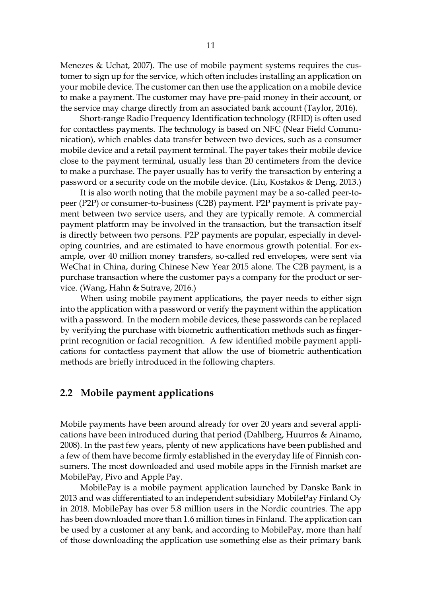Menezes & Uchat, 2007). The use of mobile payment systems requires the customer to sign up for the service, which often includes installing an application on your mobile device. The customer can then use the application on a mobile device to make a payment. The customer may have pre-paid money in their account, or the service may charge directly from an associated bank account (Taylor, 2016).

Short-range Radio Frequency Identification technology (RFID) is often used for contactless payments. The technology is based on NFC (Near Field Communication), which enables data transfer between two devices, such as a consumer mobile device and a retail payment terminal. The payer takes their mobile device close to the payment terminal, usually less than 20 centimeters from the device to make a purchase. The payer usually has to verify the transaction by entering a password or a security code on the mobile device. (Liu, Kostakos & Deng, 2013.)

It is also worth noting that the mobile payment may be a so-called peer-topeer (P2P) or consumer-to-business (C2B) payment. P2P payment is private payment between two service users, and they are typically remote. A commercial payment platform may be involved in the transaction, but the transaction itself is directly between two persons. P2P payments are popular, especially in developing countries, and are estimated to have enormous growth potential. For example, over 40 million money transfers, so-called red envelopes, were sent via WeChat in China, during Chinese New Year 2015 alone. The C2B payment, is a purchase transaction where the customer pays a company for the product or service. (Wang, Hahn & Sutrave, 2016.)

When using mobile payment applications, the payer needs to either sign into the application with a password or verify the payment within the application with a password. In the modern mobile devices, these passwords can be replaced by verifying the purchase with biometric authentication methods such as fingerprint recognition or facial recognition. A few identified mobile payment applications for contactless payment that allow the use of biometric authentication methods are briefly introduced in the following chapters.

## <span id="page-10-0"></span>**2.2 Mobile payment applications**

Mobile payments have been around already for over 20 years and several applications have been introduced during that period (Dahlberg, Huurros & Ainamo, 2008). In the past few years, plenty of new applications have been published and a few of them have become firmly established in the everyday life of Finnish consumers. The most downloaded and used mobile apps in the Finnish market are MobilePay, Pivo and Apple Pay.

MobilePay is a mobile payment application launched by Danske Bank in 2013 and was differentiated to an independent subsidiary MobilePay Finland Oy in 2018. MobilePay has over 5.8 million users in the Nordic countries. The app has been downloaded more than 1.6 million times in Finland. The application can be used by a customer at any bank, and according to MobilePay, more than half of those downloading the application use something else as their primary bank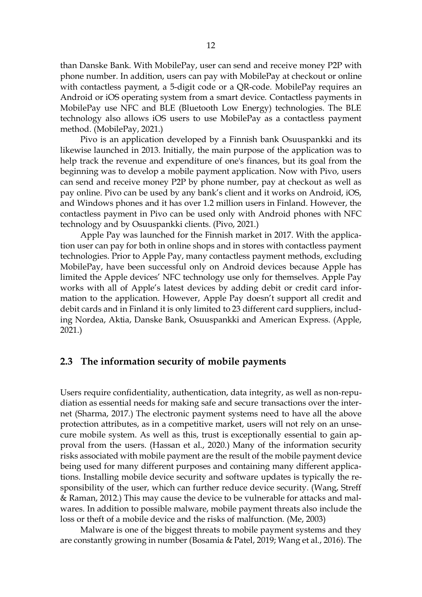than Danske Bank. With MobilePay, user can send and receive money P2P with phone number. In addition, users can pay with MobilePay at checkout or online with contactless payment, a 5-digit code or a QR-code. MobilePay requires an Android or iOS operating system from a smart device. Contactless payments in MobilePay use NFC and BLE (Bluetooth Low Energy) technologies. The BLE technology also allows iOS users to use MobilePay as a contactless payment method. (MobilePay, 2021.)

Pivo is an application developed by a Finnish bank Osuuspankki and its likewise launched in 2013. Initially, the main purpose of the application was to help track the revenue and expenditure of one's finances, but its goal from the beginning was to develop a mobile payment application. Now with Pivo, users can send and receive money P2P by phone number, pay at checkout as well as pay online. Pivo can be used by any bank's client and it works on Android, iOS, and Windows phones and it has over 1.2 million users in Finland. However, the contactless payment in Pivo can be used only with Android phones with NFC technology and by Osuuspankki clients. (Pivo, 2021.)

Apple Pay was launched for the Finnish market in 2017. With the application user can pay for both in online shops and in stores with contactless payment technologies. Prior to Apple Pay, many contactless payment methods, excluding MobilePay, have been successful only on Android devices because Apple has limited the Apple devices' NFC technology use only for themselves. Apple Pay works with all of Apple's latest devices by adding debit or credit card information to the application. However, Apple Pay doesn't support all credit and debit cards and in Finland it is only limited to 23 different card suppliers, including Nordea, Aktia, Danske Bank, Osuuspankki and American Express. (Apple, 2021.)

## <span id="page-11-0"></span>**2.3 The information security of mobile payments**

Users require confidentiality, authentication, data integrity, as well as non-repudiation as essential needs for making safe and secure transactions over the internet (Sharma, 2017.) The electronic payment systems need to have all the above protection attributes, as in a competitive market, users will not rely on an unsecure mobile system. As well as this, trust is exceptionally essential to gain approval from the users. (Hassan et al., 2020.) Many of the information security risks associated with mobile payment are the result of the mobile payment device being used for many different purposes and containing many different applications. Installing mobile device security and software updates is typically the responsibility of the user, which can further reduce device security. (Wang, Streff & Raman, 2012.) This may cause the device to be vulnerable for attacks and malwares. In addition to possible malware, mobile payment threats also include the loss or theft of a mobile device and the risks of malfunction. (Me, 2003)

Malware is one of the biggest threats to mobile payment systems and they are constantly growing in number (Bosamia & Patel, 2019; Wang et al., 2016). The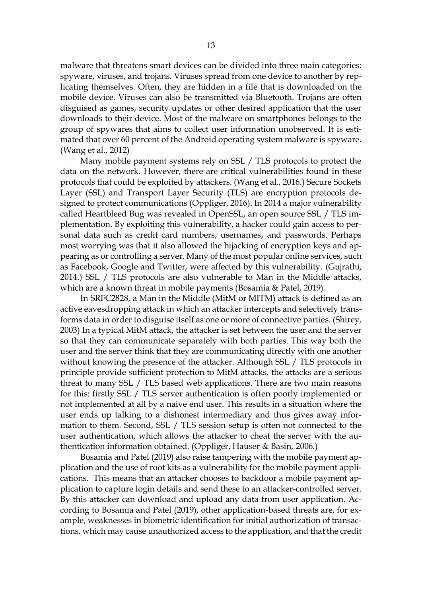malware that threatens smart devices can be divided into three main categories: spyware, viruses, and trojans. Viruses spread from one device to another by replicating themselves. Often, they are hidden in a file that is downloaded on the mobile device. Viruses can also be transmitted via Bluetooth. Trojans are often disguised as games, security updates or other desired application that the user downloads to their device. Most of the malware on smartphones belongs to the group of spywares that aims to collect user information unobserved. It is estimated that over 60 percent of the Android operating system malware is spyware. (Wang et al., 2012)

Many mobile payment systems rely on SSL / TLS protocols to protect the data on the network. However, there are critical vulnerabilities found in these protocols that could be exploited by attackers. (Wang et al., 2016.) Secure Sockets Layer (SSL) and Transport Layer Security (TLS) are encryption protocols designed to protect communications (Oppliger, 2016). In 2014 a major vulnerability called Heartbleed Bug was revealed in OpenSSL, an open source SSL / TLS implementation. By exploiting this vulnerability, a hacker could gain access to personal data such as credit card numbers, usernames, and passwords. Perhaps most worrying was that it also allowed the hijacking of encryption keys and appearing as or controlling a server. Many of the most popular online services, such as Facebook, Google and Twitter, were affected by this vulnerability. (Gujrathi, 2014.) SSL / TLS protocols are also vulnerable to Man in the Middle attacks, which are a known threat in mobile payments (Bosamia & Patel, 2019).

In SRFC2828, a Man in the Middle (MitM or MITM) attack is defined as an active eavesdropping attack in which an attacker intercepts and selectively transforms data in order to disguise itself as one or more of connective parties. (Shirey, 2003) In a typical MitM attack, the attacker is set between the user and the server so that they can communicate separately with both parties. This way both the user and the server think that they are communicating directly with one another without knowing the presence of the attacker. Although SSL / TLS protocols in principle provide sufficient protection to MitM attacks, the attacks are a serious threat to many SSL / TLS based web applications. There are two main reasons for this: firstly SSL / TLS server authentication is often poorly implemented or not implemented at all by a naive end user. This results in a situation where the user ends up talking to a dishonest intermediary and thus gives away information to them. Second, SSL / TLS session setup is often not connected to the user authentication, which allows the attacker to cheat the server with the authentication information obtained. (Oppliger, Hauser & Basin, 2006.)

Bosamia and Patel (2019) also raise tampering with the mobile payment application and the use of root kits as a vulnerability for the mobile payment applications. This means that an attacker chooses to backdoor a mobile payment application to capture login details and send these to an attacker-controlled server. By this attacker can download and upload any data from user application. According to Bosamia and Patel (2019), other application-based threats are, for example, weaknesses in biometric identification for initial authorization of transactions, which may cause unauthorized access to the application, and that the credit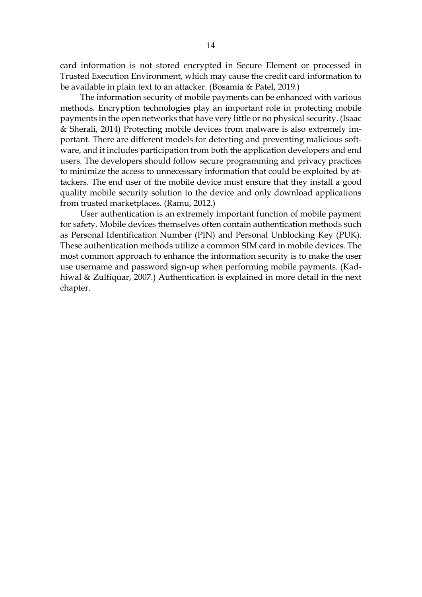card information is not stored encrypted in Secure Element or processed in Trusted Execution Environment, which may cause the credit card information to be available in plain text to an attacker. (Bosamia & Patel, 2019.)

The information security of mobile payments can be enhanced with various methods. Encryption technologies play an important role in protecting mobile payments in the open networks that have very little or no physical security. (Isaac & Sherali, 2014) Protecting mobile devices from malware is also extremely important. There are different models for detecting and preventing malicious software, and it includes participation from both the application developers and end users. The developers should follow secure programming and privacy practices to minimize the access to unnecessary information that could be exploited by attackers. The end user of the mobile device must ensure that they install a good quality mobile security solution to the device and only download applications from trusted marketplaces. (Ramu, 2012.)

User authentication is an extremely important function of mobile payment for safety. Mobile devices themselves often contain authentication methods such as Personal Identification Number (PIN) and Personal Unblocking Key (PUK). These authentication methods utilize a common SIM card in mobile devices. The most common approach to enhance the information security is to make the user use username and password sign-up when performing mobile payments. (Kadhiwal & Zulfiquar, 2007.) Authentication is explained in more detail in the next chapter.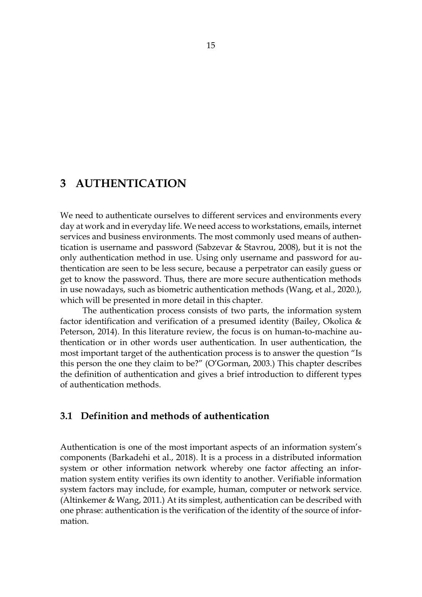# <span id="page-14-0"></span>**3 AUTHENTICATION**

We need to authenticate ourselves to different services and environments every day at work and in everyday life. We need access to workstations, emails, internet services and business environments. The most commonly used means of authentication is username and password (Sabzevar & Stavrou, 2008), but it is not the only authentication method in use. Using only username and password for authentication are seen to be less secure, because a perpetrator can easily guess or get to know the password. Thus, there are more secure authentication methods in use nowadays, such as biometric authentication methods (Wang, et al., 2020.), which will be presented in more detail in this chapter.

The authentication process consists of two parts, the information system factor identification and verification of a presumed identity (Bailey, Okolica & Peterson, 2014). In this literature review, the focus is on human-to-machine authentication or in other words user authentication. In user authentication, the most important target of the authentication process is to answer the question "Is this person the one they claim to be?" (O'Gorman, 2003.) This chapter describes the definition of authentication and gives a brief introduction to different types of authentication methods.

## <span id="page-14-1"></span>**3.1 Definition and methods of authentication**

Authentication is one of the most important aspects of an information system's components (Barkadehi et al., 2018). It is a process in a distributed information system or other information network whereby one factor affecting an information system entity verifies its own identity to another. Verifiable information system factors may include, for example, human, computer or network service. (Altinkemer & Wang, 2011.) At its simplest, authentication can be described with one phrase: authentication is the verification of the identity of the source of information.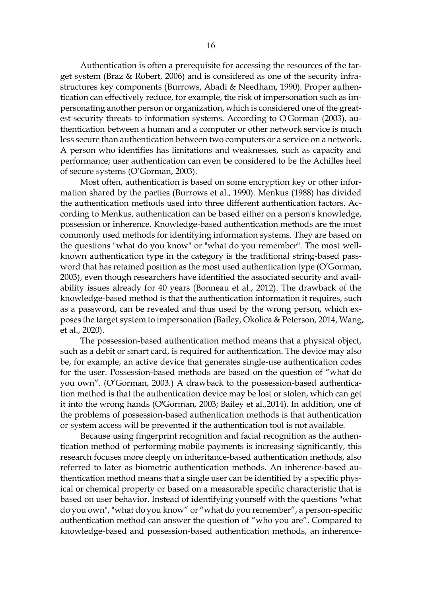Authentication is often a prerequisite for accessing the resources of the target system (Braz & Robert, 2006) and is considered as one of the security infrastructures key components (Burrows, Abadi & Needham, 1990). Proper authentication can effectively reduce, for example, the risk of impersonation such as impersonating another person or organization, which is considered one of the greatest security threats to information systems. According to O'Gorman (2003), authentication between a human and a computer or other network service is much less secure than authentication between two computers or a service on a network. A person who identifies has limitations and weaknesses, such as capacity and performance; user authentication can even be considered to be the Achilles heel of secure systems (O'Gorman, 2003).

Most often, authentication is based on some encryption key or other information shared by the parties (Burrows et al., 1990). Menkus (1988) has divided the authentication methods used into three different authentication factors. According to Menkus, authentication can be based either on a person's knowledge, possession or inherence. Knowledge-based authentication methods are the most commonly used methods for identifying information systems. They are based on the questions "what do you know" or "what do you remember". The most wellknown authentication type in the category is the traditional string-based password that has retained position as the most used authentication type (O'Gorman, 2003), even though researchers have identified the associated security and availability issues already for 40 years (Bonneau et al., 2012). The drawback of the knowledge-based method is that the authentication information it requires, such as a password, can be revealed and thus used by the wrong person, which exposes the target system to impersonation (Bailey, Okolica & Peterson, 2014, Wang, et al., 2020).

The possession-based authentication method means that a physical object, such as a debit or smart card, is required for authentication. The device may also be, for example, an active device that generates single-use authentication codes for the user. Possession-based methods are based on the question of "what do you own". (O'Gorman, 2003.) A drawback to the possession-based authentication method is that the authentication device may be lost or stolen, which can get it into the wrong hands (O'Gorman, 2003; Bailey et al.,2014). In addition, one of the problems of possession-based authentication methods is that authentication or system access will be prevented if the authentication tool is not available.

Because using fingerprint recognition and facial recognition as the authentication method of performing mobile payments is increasing significantly, this research focuses more deeply on inheritance-based authentication methods, also referred to later as biometric authentication methods. An inherence-based authentication method means that a single user can be identified by a specific physical or chemical property or based on a measurable specific characteristic that is based on user behavior. Instead of identifying yourself with the questions "what do you own", "what do you know" or "what do you remember", a person-specific authentication method can answer the question of "who you are". Compared to knowledge-based and possession-based authentication methods, an inherence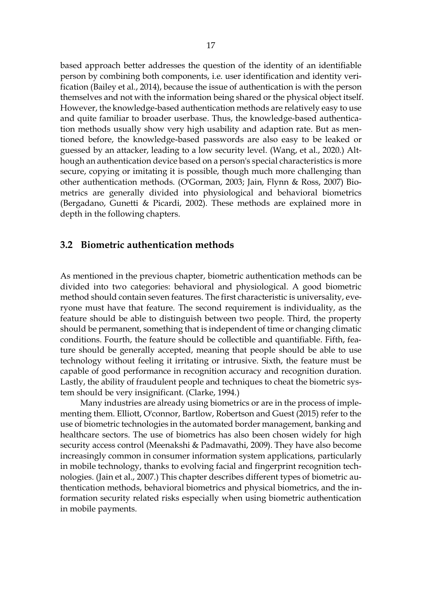based approach better addresses the question of the identity of an identifiable person by combining both components, i.e. user identification and identity verification (Bailey et al., 2014), because the issue of authentication is with the person themselves and not with the information being shared or the physical object itself. However, the knowledge-based authentication methods are relatively easy to use and quite familiar to broader userbase. Thus, the knowledge-based authentication methods usually show very high usability and adaption rate. But as mentioned before, the knowledge-based passwords are also easy to be leaked or guessed by an attacker, leading to a low security level. (Wang, et al., 2020.) Although an authentication device based on a person's special characteristics is more secure, copying or imitating it is possible, though much more challenging than other authentication methods. (O'Gorman, 2003; Jain, Flynn & Ross, 2007) Biometrics are generally divided into physiological and behavioral biometrics (Bergadano, Gunetti & Picardi, 2002). These methods are explained more in depth in the following chapters.

### <span id="page-16-0"></span>**3.2 Biometric authentication methods**

As mentioned in the previous chapter, biometric authentication methods can be divided into two categories: behavioral and physiological. A good biometric method should contain seven features. The first characteristic is universality, everyone must have that feature. The second requirement is individuality, as the feature should be able to distinguish between two people. Third, the property should be permanent, something that is independent of time or changing climatic conditions. Fourth, the feature should be collectible and quantifiable. Fifth, feature should be generally accepted, meaning that people should be able to use technology without feeling it irritating or intrusive. Sixth, the feature must be capable of good performance in recognition accuracy and recognition duration. Lastly, the ability of fraudulent people and techniques to cheat the biometric system should be very insignificant. (Clarke, 1994.)

Many industries are already using biometrics or are in the process of implementing them. Elliott, O'connor, Bartlow, Robertson and Guest (2015) refer to the use of biometric technologies in the automated border management, banking and healthcare sectors. The use of biometrics has also been chosen widely for high security access control (Meenakshi & Padmavathi, 2009). They have also become increasingly common in consumer information system applications, particularly in mobile technology, thanks to evolving facial and fingerprint recognition technologies. (Jain et al., 2007.) This chapter describes different types of biometric authentication methods, behavioral biometrics and physical biometrics, and the information security related risks especially when using biometric authentication in mobile payments.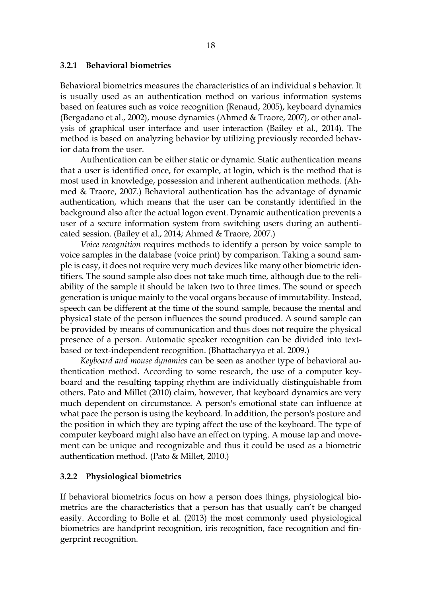#### <span id="page-17-0"></span>**3.2.1 Behavioral biometrics**

Behavioral biometrics measures the characteristics of an individual's behavior. It is usually used as an authentication method on various information systems based on features such as voice recognition (Renaud, 2005), keyboard dynamics (Bergadano et al., 2002), mouse dynamics (Ahmed & Traore, 2007), or other analysis of graphical user interface and user interaction (Bailey et al., 2014). The method is based on analyzing behavior by utilizing previously recorded behavior data from the user.

Authentication can be either static or dynamic. Static authentication means that a user is identified once, for example, at login, which is the method that is most used in knowledge, possession and inherent authentication methods. (Ahmed & Traore, 2007.) Behavioral authentication has the advantage of dynamic authentication, which means that the user can be constantly identified in the background also after the actual logon event. Dynamic authentication prevents a user of a secure information system from switching users during an authenticated session. (Bailey et al., 2014; Ahmed & Traore, 2007.)

*Voice recognition* requires methods to identify a person by voice sample to voice samples in the database (voice print) by comparison. Taking a sound sample is easy, it does not require very much devices like many other biometric identifiers. The sound sample also does not take much time, although due to the reliability of the sample it should be taken two to three times. The sound or speech generation is unique mainly to the vocal organs because of immutability. Instead, speech can be different at the time of the sound sample, because the mental and physical state of the person influences the sound produced. A sound sample can be provided by means of communication and thus does not require the physical presence of a person. Automatic speaker recognition can be divided into textbased or text-independent recognition. (Bhattacharyya et al. 2009.)

*Keyboard and mouse dynamics* can be seen as another type of behavioral authentication method. According to some research, the use of a computer keyboard and the resulting tapping rhythm are individually distinguishable from others. Pato and Millet (2010) claim, however, that keyboard dynamics are very much dependent on circumstance. A person's emotional state can influence at what pace the person is using the keyboard. In addition, the person's posture and the position in which they are typing affect the use of the keyboard. The type of computer keyboard might also have an effect on typing. A mouse tap and movement can be unique and recognizable and thus it could be used as a biometric authentication method. (Pato & Millet, 2010.)

#### <span id="page-17-1"></span>**3.2.2 Physiological biometrics**

If behavioral biometrics focus on how a person does things, physiological biometrics are the characteristics that a person has that usually can't be changed easily. According to Bolle et al. (2013) the most commonly used physiological biometrics are handprint recognition, iris recognition, face recognition and fingerprint recognition.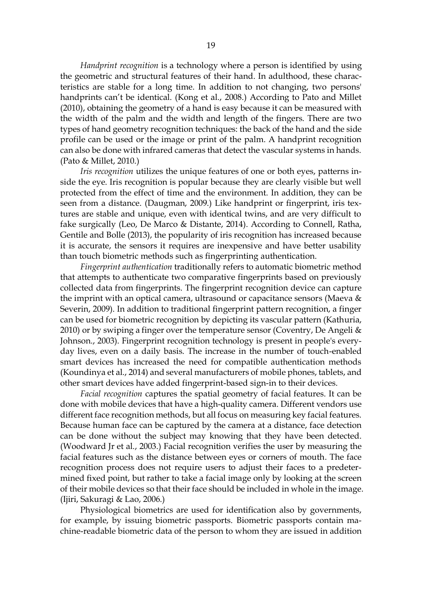*Handprint recognition* is a technology where a person is identified by using the geometric and structural features of their hand. In adulthood, these characteristics are stable for a long time. In addition to not changing, two persons' handprints can't be identical. (Kong et al., 2008.) According to Pato and Millet (2010), obtaining the geometry of a hand is easy because it can be measured with the width of the palm and the width and length of the fingers. There are two types of hand geometry recognition techniques: the back of the hand and the side profile can be used or the image or print of the palm. A handprint recognition can also be done with infrared cameras that detect the vascular systems in hands. (Pato & Millet, 2010.)

*Iris recognition* utilizes the unique features of one or both eyes, patterns inside the eye. Iris recognition is popular because they are clearly visible but well protected from the effect of time and the environment. In addition, they can be seen from a distance. (Daugman, 2009.) Like handprint or fingerprint, iris textures are stable and unique, even with identical twins, and are very difficult to fake surgically (Leo, De Marco & Distante, 2014). According to Connell, Ratha, Gentile and Bolle (2013), the popularity of iris recognition has increased because it is accurate, the sensors it requires are inexpensive and have better usability than touch biometric methods such as fingerprinting authentication.

*Fingerprint authentication* traditionally refers to automatic biometric method that attempts to authenticate two comparative fingerprints based on previously collected data from fingerprints. The fingerprint recognition device can capture the imprint with an optical camera, ultrasound or capacitance sensors (Maeva  $\&$ Severin, 2009). In addition to traditional fingerprint pattern recognition, a finger can be used for biometric recognition by depicting its vascular pattern (Kathuria, 2010) or by swiping a finger over the temperature sensor (Coventry, De Angeli  $\&$ Johnson., 2003). Fingerprint recognition technology is present in people's everyday lives, even on a daily basis. The increase in the number of touch-enabled smart devices has increased the need for compatible authentication methods (Koundinya et al., 2014) and several manufacturers of mobile phones, tablets, and other smart devices have added fingerprint-based sign-in to their devices.

*Facial recognition* captures the spatial geometry of facial features. It can be done with mobile devices that have a high-quality camera. Different vendors use different face recognition methods, but all focus on measuring key facial features. Because human face can be captured by the camera at a distance, face detection can be done without the subject may knowing that they have been detected. (Woodward Jr et al., 2003.) Facial recognition verifies the user by measuring the facial features such as the distance between eyes or corners of mouth. The face recognition process does not require users to adjust their faces to a predetermined fixed point, but rather to take a facial image only by looking at the screen of their mobile devices so that their face should be included in whole in the image. (Ijiri, Sakuragi & Lao, 2006.)

Physiological biometrics are used for identification also by governments, for example, by issuing biometric passports. Biometric passports contain machine-readable biometric data of the person to whom they are issued in addition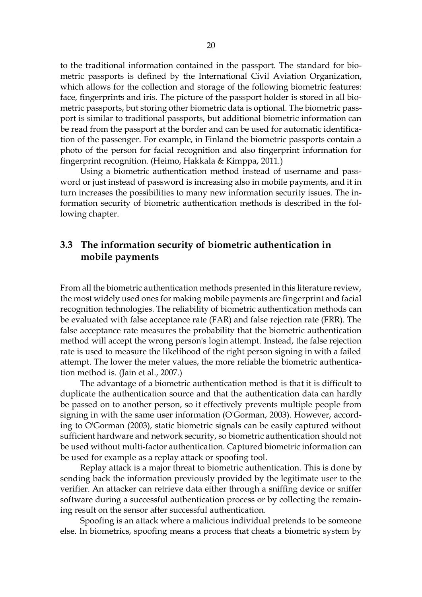to the traditional information contained in the passport. The standard for biometric passports is defined by the International Civil Aviation Organization, which allows for the collection and storage of the following biometric features: face, fingerprints and iris. The picture of the passport holder is stored in all biometric passports, but storing other biometric data is optional. The biometric passport is similar to traditional passports, but additional biometric information can be read from the passport at the border and can be used for automatic identification of the passenger. For example, in Finland the biometric passports contain a photo of the person for facial recognition and also fingerprint information for fingerprint recognition. (Heimo, Hakkala & Kimppa, 2011.)

Using a biometric authentication method instead of username and password or just instead of password is increasing also in mobile payments, and it in turn increases the possibilities to many new information security issues. The information security of biometric authentication methods is described in the following chapter.

## <span id="page-19-0"></span>**3.3 The information security of biometric authentication in mobile payments**

From all the biometric authentication methods presented in this literature review, the most widely used ones for making mobile payments are fingerprint and facial recognition technologies. The reliability of biometric authentication methods can be evaluated with false acceptance rate (FAR) and false rejection rate (FRR). The false acceptance rate measures the probability that the biometric authentication method will accept the wrong person's login attempt. Instead, the false rejection rate is used to measure the likelihood of the right person signing in with a failed attempt. The lower the meter values, the more reliable the biometric authentication method is. (Jain et al., 2007.)

The advantage of a biometric authentication method is that it is difficult to duplicate the authentication source and that the authentication data can hardly be passed on to another person, so it effectively prevents multiple people from signing in with the same user information (O'Gorman, 2003). However, according to O'Gorman (2003), static biometric signals can be easily captured without sufficient hardware and network security, so biometric authentication should not be used without multi-factor authentication. Captured biometric information can be used for example as a replay attack or spoofing tool.

Replay attack is a major threat to biometric authentication. This is done by sending back the information previously provided by the legitimate user to the verifier. An attacker can retrieve data either through a sniffing device or sniffer software during a successful authentication process or by collecting the remaining result on the sensor after successful authentication.

Spoofing is an attack where a malicious individual pretends to be someone else. In biometrics, spoofing means a process that cheats a biometric system by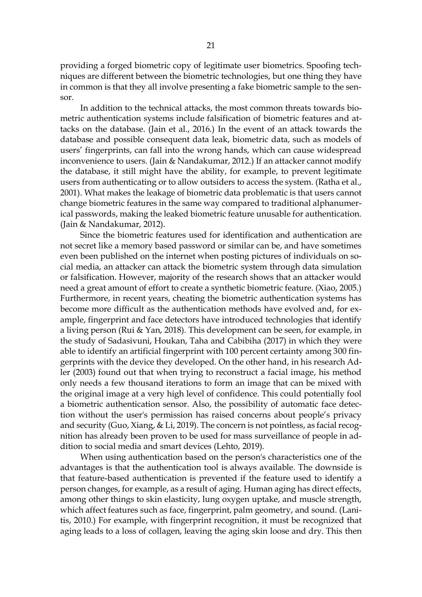providing a forged biometric copy of legitimate user biometrics. Spoofing techniques are different between the biometric technologies, but one thing they have in common is that they all involve presenting a fake biometric sample to the sensor.

In addition to the technical attacks, the most common threats towards biometric authentication systems include falsification of biometric features and attacks on the database. (Jain et al., 2016.) In the event of an attack towards the database and possible consequent data leak, biometric data, such as models of users' fingerprints, can fall into the wrong hands, which can cause widespread inconvenience to users. (Jain & Nandakumar, 2012.) If an attacker cannot modify the database, it still might have the ability, for example, to prevent legitimate users from authenticating or to allow outsiders to access the system. (Ratha et al., 2001). What makes the leakage of biometric data problematic is that users cannot change biometric features in the same way compared to traditional alphanumerical passwords, making the leaked biometric feature unusable for authentication. (Jain & Nandakumar, 2012).

Since the biometric features used for identification and authentication are not secret like a memory based password or similar can be, and have sometimes even been published on the internet when posting pictures of individuals on social media, an attacker can attack the biometric system through data simulation or falsification. However, majority of the research shows that an attacker would need a great amount of effort to create a synthetic biometric feature. (Xiao, 2005.) Furthermore, in recent years, cheating the biometric authentication systems has become more difficult as the authentication methods have evolved and, for example, fingerprint and face detectors have introduced technologies that identify a living person (Rui & Yan, 2018). This development can be seen, for example, in the study of Sadasivuni, Houkan, Taha and Cabibiha (2017) in which they were able to identify an artificial fingerprint with 100 percent certainty among 300 fingerprints with the device they developed. On the other hand, in his research Adler (2003) found out that when trying to reconstruct a facial image, his method only needs a few thousand iterations to form an image that can be mixed with the original image at a very high level of confidence. This could potentially fool a biometric authentication sensor. Also, the possibility of automatic face detection without the user's permission has raised concerns about people's privacy and security (Guo, Xiang, & Li, 2019). The concern is not pointless, as facial recognition has already been proven to be used for mass surveillance of people in addition to social media and smart devices (Lehto, 2019).

When using authentication based on the person's characteristics one of the advantages is that the authentication tool is always available. The downside is that feature-based authentication is prevented if the feature used to identify a person changes, for example, as a result of aging. Human aging has direct effects, among other things to skin elasticity, lung oxygen uptake, and muscle strength, which affect features such as face, fingerprint, palm geometry, and sound. (Lanitis, 2010.) For example, with fingerprint recognition, it must be recognized that aging leads to a loss of collagen, leaving the aging skin loose and dry. This then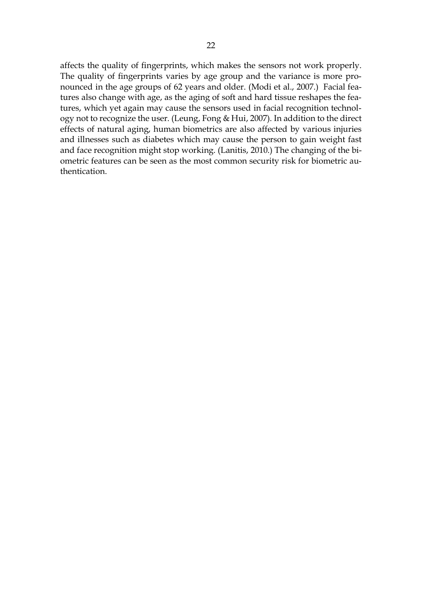affects the quality of fingerprints, which makes the sensors not work properly. The quality of fingerprints varies by age group and the variance is more pronounced in the age groups of 62 years and older. (Modi et al., 2007.) Facial features also change with age, as the aging of soft and hard tissue reshapes the features, which yet again may cause the sensors used in facial recognition technology not to recognize the user. (Leung, Fong & Hui, 2007). In addition to the direct effects of natural aging, human biometrics are also affected by various injuries and illnesses such as diabetes which may cause the person to gain weight fast and face recognition might stop working. (Lanitis, 2010.) The changing of the biometric features can be seen as the most common security risk for biometric authentication.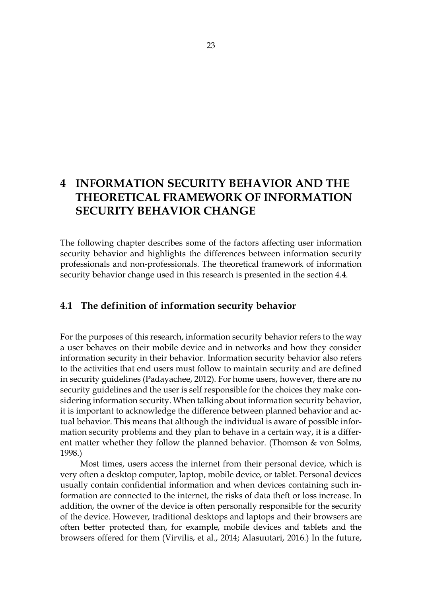# <span id="page-22-0"></span>**4 INFORMATION SECURITY BEHAVIOR AND THE THEORETICAL FRAMEWORK OF INFORMATION SECURITY BEHAVIOR CHANGE**

The following chapter describes some of the factors affecting user information security behavior and highlights the differences between information security professionals and non-professionals. The theoretical framework of information security behavior change used in this research is presented in the section 4.4.

## <span id="page-22-1"></span>**4.1 The definition of information security behavior**

For the purposes of this research, information security behavior refers to the way a user behaves on their mobile device and in networks and how they consider information security in their behavior. Information security behavior also refers to the activities that end users must follow to maintain security and are defined in security guidelines (Padayachee, 2012). For home users, however, there are no security guidelines and the user is self responsible for the choices they make considering information security. When talking about information security behavior, it is important to acknowledge the difference between planned behavior and actual behavior. This means that although the individual is aware of possible information security problems and they plan to behave in a certain way, it is a different matter whether they follow the planned behavior. (Thomson & von Solms, 1998.)

Most times, users access the internet from their personal device, which is very often a desktop computer, laptop, mobile device, or tablet. Personal devices usually contain confidential information and when devices containing such information are connected to the internet, the risks of data theft or loss increase. In addition, the owner of the device is often personally responsible for the security of the device. However, traditional desktops and laptops and their browsers are often better protected than, for example, mobile devices and tablets and the browsers offered for them (Virvilis, et al., 2014; Alasuutari, 2016.) In the future,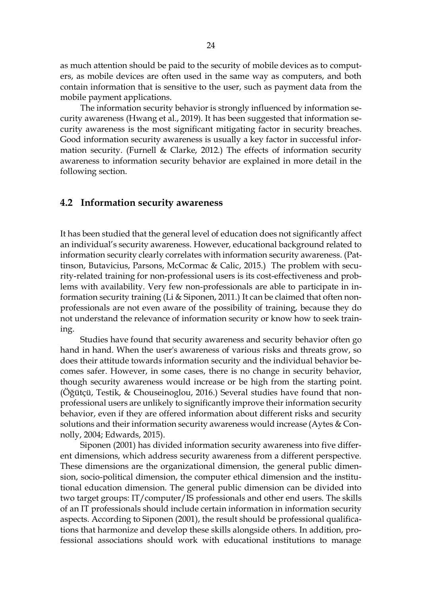as much attention should be paid to the security of mobile devices as to computers, as mobile devices are often used in the same way as computers, and both contain information that is sensitive to the user, such as payment data from the mobile payment applications.

The information security behavior is strongly influenced by information security awareness (Hwang et al., 2019). It has been suggested that information security awareness is the most significant mitigating factor in security breaches. Good information security awareness is usually a key factor in successful information security. (Furnell & Clarke, 2012.) The effects of information security awareness to information security behavior are explained in more detail in the following section.

### <span id="page-23-0"></span>**4.2 Information security awareness**

It has been studied that the general level of education does not significantly affect an individual's security awareness. However, educational background related to information security clearly correlates with information security awareness. (Pattinson, Butavicius, Parsons, McCormac & Calic, 2015.) The problem with security-related training for non-professional users is its cost-effectiveness and problems with availability. Very few non-professionals are able to participate in information security training (Li & Siponen, 2011.) It can be claimed that often nonprofessionals are not even aware of the possibility of training, because they do not understand the relevance of information security or know how to seek training.

Studies have found that security awareness and security behavior often go hand in hand. When the user's awareness of various risks and threats grow, so does their attitude towards information security and the individual behavior becomes safer. However, in some cases, there is no change in security behavior, though security awareness would increase or be high from the starting point. (Öğütçü, Testik, & Chouseinoglou, 2016.) Several studies have found that nonprofessional users are unlikely to significantly improve their information security behavior, even if they are offered information about different risks and security solutions and their information security awareness would increase (Aytes  $&$  Connolly, 2004; Edwards, 2015).

Siponen (2001) has divided information security awareness into five different dimensions, which address security awareness from a different perspective. These dimensions are the organizational dimension, the general public dimension, socio-political dimension, the computer ethical dimension and the institutional education dimension. The general public dimension can be divided into two target groups: IT/computer/IS professionals and other end users. The skills of an IT professionals should include certain information in information security aspects. According to Siponen (2001), the result should be professional qualifications that harmonize and develop these skills alongside others. In addition, professional associations should work with educational institutions to manage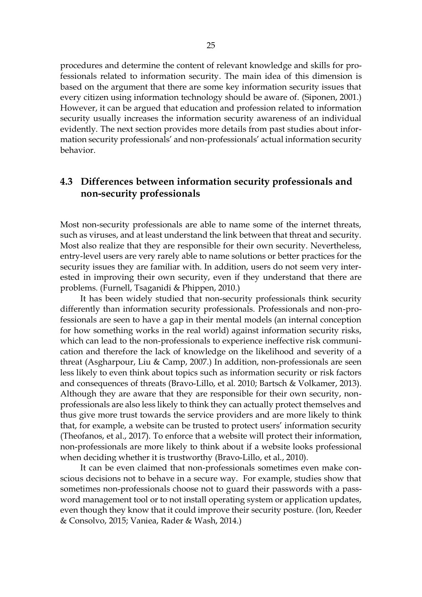procedures and determine the content of relevant knowledge and skills for professionals related to information security. The main idea of this dimension is based on the argument that there are some key information security issues that every citizen using information technology should be aware of. (Siponen, 2001.) However, it can be argued that education and profession related to information security usually increases the information security awareness of an individual evidently. The next section provides more details from past studies about information security professionals' and non-professionals' actual information security behavior.

## <span id="page-24-0"></span>**4.3 Differences between information security professionals and non-security professionals**

Most non-security professionals are able to name some of the internet threats, such as viruses, and at least understand the link between that threat and security. Most also realize that they are responsible for their own security. Nevertheless, entry-level users are very rarely able to name solutions or better practices for the security issues they are familiar with. In addition, users do not seem very interested in improving their own security, even if they understand that there are problems. (Furnell, Tsaganidi & Phippen, 2010.)

It has been widely studied that non-security professionals think security differently than information security professionals. Professionals and non-professionals are seen to have a gap in their mental models (an internal conception for how something works in the real world) against information security risks, which can lead to the non-professionals to experience ineffective risk communication and therefore the lack of knowledge on the likelihood and severity of a threat (Asgharpour, Liu & Camp, 2007.) In addition, non-professionals are seen less likely to even think about topics such as information security or risk factors and consequences of threats (Bravo-Lillo, et al. 2010; Bartsch & Volkamer, 2013). Although they are aware that they are responsible for their own security, nonprofessionals are also less likely to think they can actually protect themselves and thus give more trust towards the service providers and are more likely to think that, for example, a website can be trusted to protect users' information security (Theofanos, et al., 2017). To enforce that a website will protect their information, non-professionals are more likely to think about if a website looks professional when deciding whether it is trustworthy (Bravo-Lillo, et al., 2010).

It can be even claimed that non-professionals sometimes even make conscious decisions not to behave in a secure way. For example, studies show that sometimes non-professionals choose not to guard their passwords with a password management tool or to not install operating system or application updates, even though they know that it could improve their security posture. (Ion, Reeder & Consolvo, 2015; Vaniea, Rader & Wash, 2014.)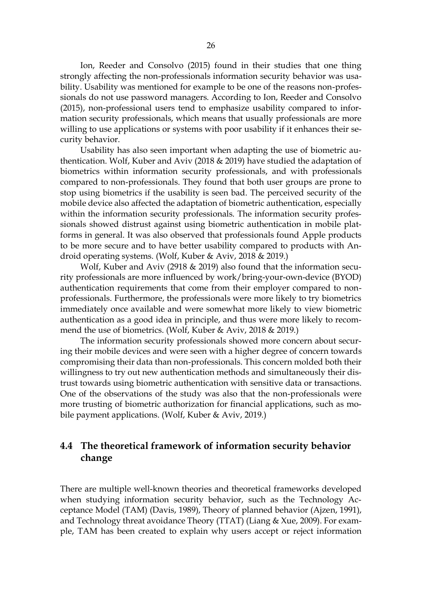Ion, Reeder and Consolvo (2015) found in their studies that one thing strongly affecting the non-professionals information security behavior was usability. Usability was mentioned for example to be one of the reasons non-professionals do not use password managers. According to Ion, Reeder and Consolvo (2015), non-professional users tend to emphasize usability compared to information security professionals, which means that usually professionals are more willing to use applications or systems with poor usability if it enhances their security behavior.

Usability has also seen important when adapting the use of biometric authentication. Wolf, Kuber and Aviv (2018 & 2019) have studied the adaptation of biometrics within information security professionals, and with professionals compared to non-professionals. They found that both user groups are prone to stop using biometrics if the usability is seen bad. The perceived security of the mobile device also affected the adaptation of biometric authentication, especially within the information security professionals. The information security professionals showed distrust against using biometric authentication in mobile platforms in general. It was also observed that professionals found Apple products to be more secure and to have better usability compared to products with Android operating systems. (Wolf, Kuber & Aviv, 2018 & 2019.)

Wolf, Kuber and Aviv (2918 & 2019) also found that the information security professionals are more influenced by work/bring-your-own-device (BYOD) authentication requirements that come from their employer compared to nonprofessionals. Furthermore, the professionals were more likely to try biometrics immediately once available and were somewhat more likely to view biometric authentication as a good idea in principle, and thus were more likely to recommend the use of biometrics. (Wolf, Kuber & Aviv, 2018 & 2019.)

The information security professionals showed more concern about securing their mobile devices and were seen with a higher degree of concern towards compromising their data than non-professionals. This concern molded both their willingness to try out new authentication methods and simultaneously their distrust towards using biometric authentication with sensitive data or transactions. One of the observations of the study was also that the non-professionals were more trusting of biometric authorization for financial applications, such as mobile payment applications. (Wolf, Kuber & Aviv, 2019.)

## <span id="page-25-0"></span>**4.4 The theoretical framework of information security behavior change**

There are multiple well-known theories and theoretical frameworks developed when studying information security behavior, such as the Technology Acceptance Model (TAM) (Davis, 1989), Theory of planned behavior (Ajzen, 1991), and Technology threat avoidance Theory (TTAT) (Liang & Xue, 2009). For example, TAM has been created to explain why users accept or reject information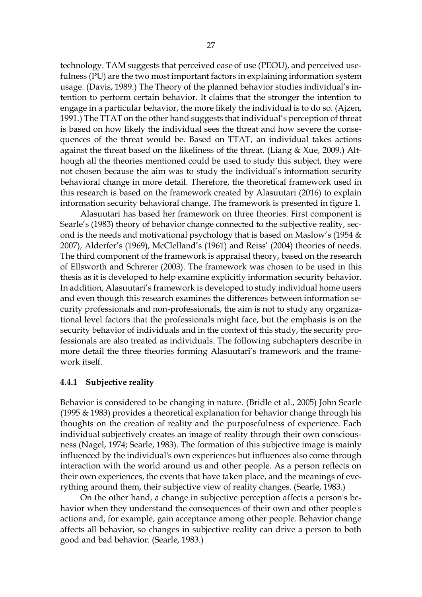technology. TAM suggests that perceived ease of use (PEOU), and perceived usefulness (PU) are the two most important factors in explaining information system usage. (Davis, 1989.) The Theory of the planned behavior studies individual's intention to perform certain behavior. It claims that the stronger the intention to engage in a particular behavior, the more likely the individual is to do so. (Ajzen, 1991.) The TTAT on the other hand suggests that individual's perception of threat is based on how likely the individual sees the threat and how severe the consequences of the threat would be. Based on TTAT, an individual takes actions against the threat based on the likeliness of the threat. (Liang & Xue, 2009.) Although all the theories mentioned could be used to study this subject, they were not chosen because the aim was to study the individual's information security behavioral change in more detail. Therefore, the theoretical framework used in this research is based on the framework created by Alasuutari (2016) to explain information security behavioral change. The framework is presented in figure 1.

Alasuutari has based her framework on three theories. First component is Searle's (1983) theory of behavior change connected to the subjective reality, second is the needs and motivational psychology that is based on Maslow's (1954  $&$ 2007), Alderfer's (1969), McClelland's (1961) and Reiss' (2004) theories of needs. The third component of the framework is appraisal theory, based on the research of Ellsworth and Schrerer (2003). The framework was chosen to be used in this thesis as it is developed to help examine explicitly information security behavior. In addition, Alasuutari's framework is developed to study individual home users and even though this research examines the differences between information security professionals and non-professionals, the aim is not to study any organizational level factors that the professionals might face, but the emphasis is on the security behavior of individuals and in the context of this study, the security professionals are also treated as individuals. The following subchapters describe in more detail the three theories forming Alasuutari's framework and the framework itself.

#### <span id="page-26-0"></span>**4.4.1 Subjective reality**

Behavior is considered to be changing in nature. (Bridle et al., 2005) John Searle (1995 & 1983) provides a theoretical explanation for behavior change through his thoughts on the creation of reality and the purposefulness of experience. Each individual subjectively creates an image of reality through their own consciousness (Nagel, 1974; Searle, 1983). The formation of this subjective image is mainly influenced by the individual's own experiences but influences also come through interaction with the world around us and other people. As a person reflects on their own experiences, the events that have taken place, and the meanings of everything around them, their subjective view of reality changes. (Searle, 1983.)

On the other hand, a change in subjective perception affects a person's behavior when they understand the consequences of their own and other people's actions and, for example, gain acceptance among other people. Behavior change affects all behavior, so changes in subjective reality can drive a person to both good and bad behavior. (Searle, 1983.)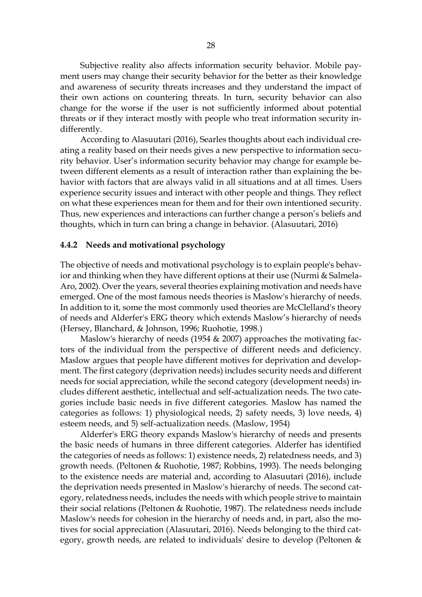Subjective reality also affects information security behavior. Mobile payment users may change their security behavior for the better as their knowledge and awareness of security threats increases and they understand the impact of their own actions on countering threats. In turn, security behavior can also change for the worse if the user is not sufficiently informed about potential threats or if they interact mostly with people who treat information security indifferently.

According to Alasuutari (2016), Searles thoughts about each individual creating a reality based on their needs gives a new perspective to information security behavior. User's information security behavior may change for example between different elements as a result of interaction rather than explaining the behavior with factors that are always valid in all situations and at all times. Users experience security issues and interact with other people and things. They reflect on what these experiences mean for them and for their own intentioned security. Thus, new experiences and interactions can further change a person's beliefs and thoughts, which in turn can bring a change in behavior. (Alasuutari, 2016)

#### <span id="page-27-0"></span>**4.4.2 Needs and motivational psychology**

The objective of needs and motivational psychology is to explain people's behavior and thinking when they have different options at their use (Nurmi & Salmela-Aro, 2002). Over the years, several theories explaining motivation and needs have emerged. One of the most famous needs theories is Maslow's hierarchy of needs. In addition to it, some the most commonly used theories are McClelland's theory of needs and Alderfer's ERG theory which extends Maslow's hierarchy of needs (Hersey, Blanchard, & Johnson, 1996; Ruohotie, 1998.)

Maslow's hierarchy of needs (1954 & 2007) approaches the motivating factors of the individual from the perspective of different needs and deficiency. Maslow argues that people have different motives for deprivation and development. The first category (deprivation needs) includes security needs and different needs for social appreciation, while the second category (development needs) includes different aesthetic, intellectual and self-actualization needs. The two categories include basic needs in five different categories. Maslow has named the categories as follows: 1) physiological needs, 2) safety needs, 3) love needs, 4) esteem needs, and 5) self-actualization needs. (Maslow, 1954)

Alderfer's ERG theory expands Maslow's hierarchy of needs and presents the basic needs of humans in three different categories. Alderfer has identified the categories of needs as follows: 1) existence needs, 2) relatedness needs, and 3) growth needs. (Peltonen & Ruohotie, 1987; Robbins, 1993). The needs belonging to the existence needs are material and, according to Alasuutari (2016), include the deprivation needs presented in Maslow's hierarchy of needs. The second category, relatedness needs, includes the needs with which people strive to maintain their social relations (Peltonen & Ruohotie, 1987). The relatedness needs include Maslow's needs for cohesion in the hierarchy of needs and, in part, also the motives for social appreciation (Alasuutari, 2016). Needs belonging to the third category, growth needs, are related to individuals' desire to develop (Peltonen &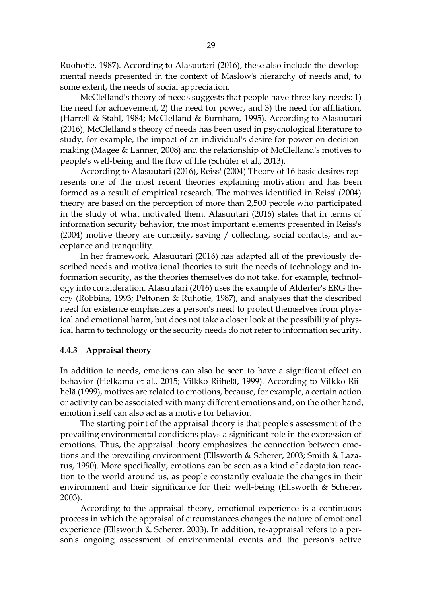Ruohotie, 1987). According to Alasuutari (2016), these also include the developmental needs presented in the context of Maslow's hierarchy of needs and, to some extent, the needs of social appreciation.

McClelland's theory of needs suggests that people have three key needs: 1) the need for achievement, 2) the need for power, and 3) the need for affiliation. (Harrell & Stahl, 1984; McClelland & Burnham, 1995). According to Alasuutari (2016), McClelland's theory of needs has been used in psychological literature to study, for example, the impact of an individual's desire for power on decisionmaking (Magee & Lanner, 2008) and the relationship of McClelland's motives to people's well-being and the flow of life (Schüler et al., 2013).

According to Alasuutari (2016), Reiss' (2004) Theory of 16 basic desires represents one of the most recent theories explaining motivation and has been formed as a result of empirical research. The motives identified in Reiss' (2004) theory are based on the perception of more than 2,500 people who participated in the study of what motivated them. Alasuutari (2016) states that in terms of information security behavior, the most important elements presented in Reiss's (2004) motive theory are curiosity, saving / collecting, social contacts, and acceptance and tranquility.

In her framework, Alasuutari (2016) has adapted all of the previously described needs and motivational theories to suit the needs of technology and information security, as the theories themselves do not take, for example, technology into consideration. Alasuutari (2016) uses the example of Alderfer's ERG theory (Robbins, 1993; Peltonen & Ruhotie, 1987), and analyses that the described need for existence emphasizes a person's need to protect themselves from physical and emotional harm, but does not take a closer look at the possibility of physical harm to technology or the security needs do not refer to information security.

### <span id="page-28-0"></span>**4.4.3 Appraisal theory**

In addition to needs, emotions can also be seen to have a significant effect on behavior (Helkama et al., 2015; Vilkko-Riihelä, 1999). According to Vilkko-Riihelä (1999), motives are related to emotions, because, for example, a certain action or activity can be associated with many different emotions and, on the other hand, emotion itself can also act as a motive for behavior.

The starting point of the appraisal theory is that people's assessment of the prevailing environmental conditions plays a significant role in the expression of emotions. Thus, the appraisal theory emphasizes the connection between emotions and the prevailing environment (Ellsworth & Scherer, 2003; Smith & Lazarus, 1990). More specifically, emotions can be seen as a kind of adaptation reaction to the world around us, as people constantly evaluate the changes in their environment and their significance for their well-being (Ellsworth & Scherer, 2003).

According to the appraisal theory, emotional experience is a continuous process in which the appraisal of circumstances changes the nature of emotional experience (Ellsworth & Scherer, 2003). In addition, re-appraisal refers to a person's ongoing assessment of environmental events and the person's active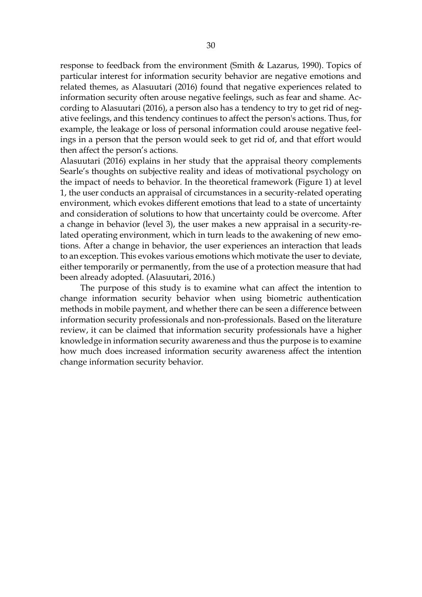response to feedback from the environment (Smith & Lazarus, 1990). Topics of particular interest for information security behavior are negative emotions and related themes, as Alasuutari (2016) found that negative experiences related to information security often arouse negative feelings, such as fear and shame. According to Alasuutari (2016), a person also has a tendency to try to get rid of negative feelings, and this tendency continues to affect the person's actions. Thus, for example, the leakage or loss of personal information could arouse negative feelings in a person that the person would seek to get rid of, and that effort would then affect the person's actions.

Alasuutari (2016) explains in her study that the appraisal theory complements Searle's thoughts on subjective reality and ideas of motivational psychology on the impact of needs to behavior. In the theoretical framework (Figure 1) at level 1, the user conducts an appraisal of circumstances in a security-related operating environment, which evokes different emotions that lead to a state of uncertainty and consideration of solutions to how that uncertainty could be overcome. After a change in behavior (level 3), the user makes a new appraisal in a security-related operating environment, which in turn leads to the awakening of new emotions. After a change in behavior, the user experiences an interaction that leads to an exception. This evokes various emotions which motivate the user to deviate, either temporarily or permanently, from the use of a protection measure that had been already adopted. (Alasuutari, 2016.)

The purpose of this study is to examine what can affect the intention to change information security behavior when using biometric authentication methods in mobile payment, and whether there can be seen a difference between information security professionals and non-professionals. Based on the literature review, it can be claimed that information security professionals have a higher knowledge in information security awareness and thus the purpose is to examine how much does increased information security awareness affect the intention change information security behavior.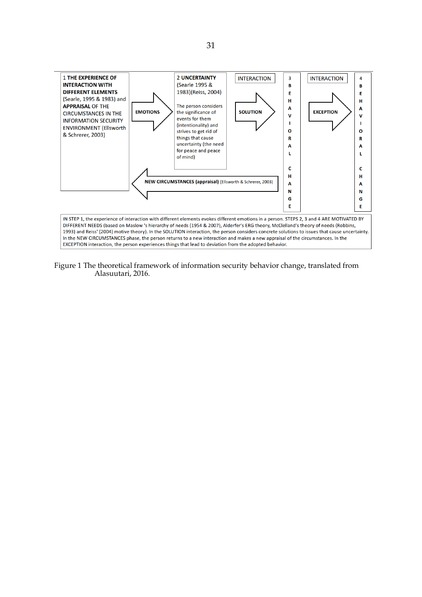

Figure 1 The theoretical framework of information security behavior change, translated from Alasuutari, 2016.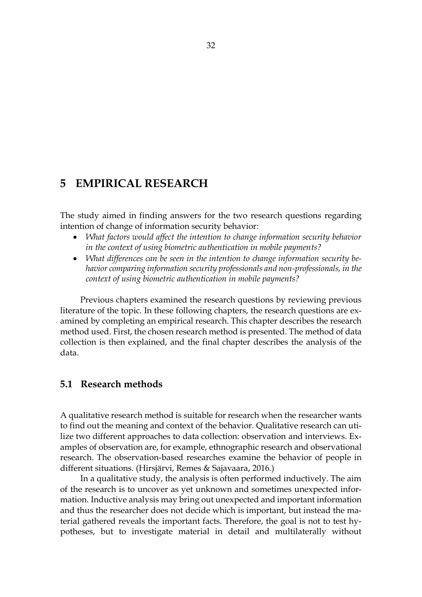# <span id="page-31-0"></span>**5 EMPIRICAL RESEARCH**

The study aimed in finding answers for the two research questions regarding intention of change of information security behavior:

- *What factors would affect the intention to change information security behavior in the context of using biometric authentication in mobile payments?*
- *What differences can be seen in the intention to change information security behavior comparing information security professionals and non-professionals, in the context of using biometric authentication in mobile payments?*

Previous chapters examined the research questions by reviewing previous literature of the topic. In these following chapters, the research questions are examined by completing an empirical research. This chapter describes the research method used. First, the chosen research method is presented. The method of data collection is then explained, and the final chapter describes the analysis of the data.

## <span id="page-31-1"></span>**5.1 Research methods**

A qualitative research method is suitable for research when the researcher wants to find out the meaning and context of the behavior. Qualitative research can utilize two different approaches to data collection: observation and interviews. Examples of observation are, for example, ethnographic research and observational research. The observation-based researches examine the behavior of people in different situations. (Hirsjärvi, Remes & Sajavaara, 2016.)

In a qualitative study, the analysis is often performed inductively. The aim of the research is to uncover as yet unknown and sometimes unexpected information. Inductive analysis may bring out unexpected and important information and thus the researcher does not decide which is important, but instead the material gathered reveals the important facts. Therefore, the goal is not to test hypotheses, but to investigate material in detail and multilaterally without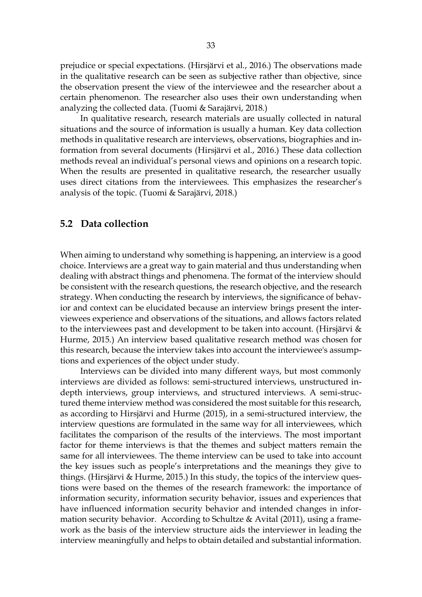prejudice or special expectations. (Hirsjärvi et al., 2016.) The observations made in the qualitative research can be seen as subjective rather than objective, since the observation present the view of the interviewee and the researcher about a certain phenomenon. The researcher also uses their own understanding when analyzing the collected data. (Tuomi & Sarajärvi, 2018.)

In qualitative research, research materials are usually collected in natural situations and the source of information is usually a human. Key data collection methods in qualitative research are interviews, observations, biographies and information from several documents (Hirsjärvi et al., 2016.) These data collection methods reveal an individual's personal views and opinions on a research topic. When the results are presented in qualitative research, the researcher usually uses direct citations from the interviewees. This emphasizes the researcher's analysis of the topic. (Tuomi & Sarajärvi, 2018.)

### <span id="page-32-0"></span>**5.2 Data collection**

When aiming to understand why something is happening, an interview is a good choice. Interviews are a great way to gain material and thus understanding when dealing with abstract things and phenomena. The format of the interview should be consistent with the research questions, the research objective, and the research strategy. When conducting the research by interviews, the significance of behavior and context can be elucidated because an interview brings present the interviewees experience and observations of the situations, and allows factors related to the interviewees past and development to be taken into account. (Hirsjärvi & Hurme, 2015.) An interview based qualitative research method was chosen for this research, because the interview takes into account the interviewee's assumptions and experiences of the object under study.

Interviews can be divided into many different ways, but most commonly interviews are divided as follows: semi-structured interviews, unstructured indepth interviews, group interviews, and structured interviews. A semi-structured theme interview method was considered the most suitable for this research, as according to Hirsjärvi and Hurme (2015), in a semi-structured interview, the interview questions are formulated in the same way for all interviewees, which facilitates the comparison of the results of the interviews. The most important factor for theme interviews is that the themes and subject matters remain the same for all interviewees. The theme interview can be used to take into account the key issues such as people's interpretations and the meanings they give to things. (Hirsjärvi & Hurme, 2015.) In this study, the topics of the interview questions were based on the themes of the research framework: the importance of information security, information security behavior, issues and experiences that have influenced information security behavior and intended changes in information security behavior. According to Schultze & Avital (2011), using a framework as the basis of the interview structure aids the interviewer in leading the interview meaningfully and helps to obtain detailed and substantial information.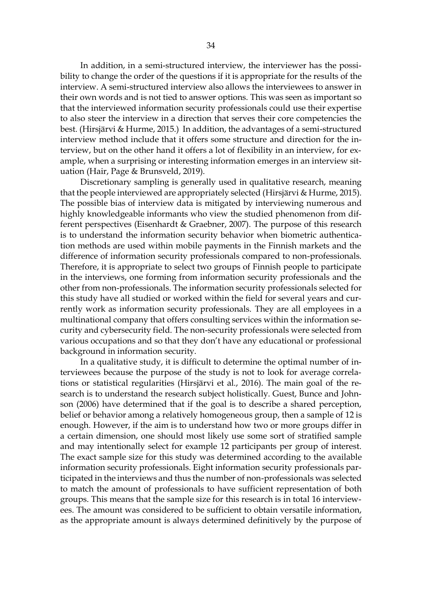In addition, in a semi-structured interview, the interviewer has the possibility to change the order of the questions if it is appropriate for the results of the interview. A semi-structured interview also allows the interviewees to answer in their own words and is not tied to answer options. This was seen as important so that the interviewed information security professionals could use their expertise to also steer the interview in a direction that serves their core competencies the best. (Hirsjärvi & Hurme, 2015.) In addition, the advantages of a semi-structured interview method include that it offers some structure and direction for the interview, but on the other hand it offers a lot of flexibility in an interview, for example, when a surprising or interesting information emerges in an interview situation (Hair, Page & Brunsveld, 2019).

Discretionary sampling is generally used in qualitative research, meaning that the people interviewed are appropriately selected (Hirsjärvi & Hurme, 2015). The possible bias of interview data is mitigated by interviewing numerous and highly knowledgeable informants who view the studied phenomenon from different perspectives (Eisenhardt & Graebner, 2007). The purpose of this research is to understand the information security behavior when biometric authentication methods are used within mobile payments in the Finnish markets and the difference of information security professionals compared to non-professionals. Therefore, it is appropriate to select two groups of Finnish people to participate in the interviews, one forming from information security professionals and the other from non-professionals. The information security professionals selected for this study have all studied or worked within the field for several years and currently work as information security professionals. They are all employees in a multinational company that offers consulting services within the information security and cybersecurity field. The non-security professionals were selected from various occupations and so that they don't have any educational or professional background in information security.

In a qualitative study, it is difficult to determine the optimal number of interviewees because the purpose of the study is not to look for average correlations or statistical regularities (Hirsjärvi et al., 2016). The main goal of the research is to understand the research subject holistically. Guest, Bunce and Johnson (2006) have determined that if the goal is to describe a shared perception, belief or behavior among a relatively homogeneous group, then a sample of 12 is enough. However, if the aim is to understand how two or more groups differ in a certain dimension, one should most likely use some sort of stratified sample and may intentionally select for example 12 participants per group of interest. The exact sample size for this study was determined according to the available information security professionals. Eight information security professionals participated in the interviews and thus the number of non-professionals was selected to match the amount of professionals to have sufficient representation of both groups. This means that the sample size for this research is in total 16 interviewees. The amount was considered to be sufficient to obtain versatile information, as the appropriate amount is always determined definitively by the purpose of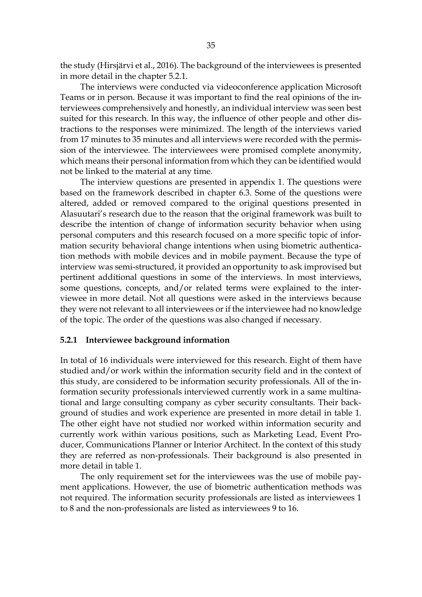the study (Hirsjärvi et al., 2016). The background of the interviewees is presented in more detail in the chapter 5.2.1.

The interviews were conducted via videoconference application Microsoft Teams or in person. Because it was important to find the real opinions of the interviewees comprehensively and honestly, an individual interview was seen best suited for this research. In this way, the influence of other people and other distractions to the responses were minimized. The length of the interviews varied from 17 minutes to 35 minutes and all interviews were recorded with the permission of the interviewee. The interviewees were promised complete anonymity, which means their personal information from which they can be identified would not be linked to the material at any time.

The interview questions are presented in appendix 1. The questions were based on the framework described in chapter 6.3. Some of the questions were altered, added or removed compared to the original questions presented in Alasuutari's research due to the reason that the original framework was built to describe the intention of change of information security behavior when using personal computers and this research focused on a more specific topic of information security behavioral change intentions when using biometric authentication methods with mobile devices and in mobile payment. Because the type of interview was semi-structured, it provided an opportunity to ask improvised but pertinent additional questions in some of the interviews. In most interviews, some questions, concepts, and/or related terms were explained to the interviewee in more detail. Not all questions were asked in the interviews because they were not relevant to all interviewees or if the interviewee had no knowledge of the topic. The order of the questions was also changed if necessary.

#### <span id="page-34-0"></span>**5.2.1 Interviewee background information**

In total of 16 individuals were interviewed for this research. Eight of them have studied and/or work within the information security field and in the context of this study, are considered to be information security professionals. All of the information security professionals interviewed currently work in a same multinational and large consulting company as cyber security consultants. Their background of studies and work experience are presented in more detail in table 1. The other eight have not studied nor worked within information security and currently work within various positions, such as Marketing Lead, Event Producer, Communications Planner or Interior Architect. In the context of this study they are referred as non-professionals. Their background is also presented in more detail in table 1.

The only requirement set for the interviewees was the use of mobile payment applications. However, the use of biometric authentication methods was not required. The information security professionals are listed as interviewees 1 to 8 and the non-professionals are listed as interviewees 9 to 16.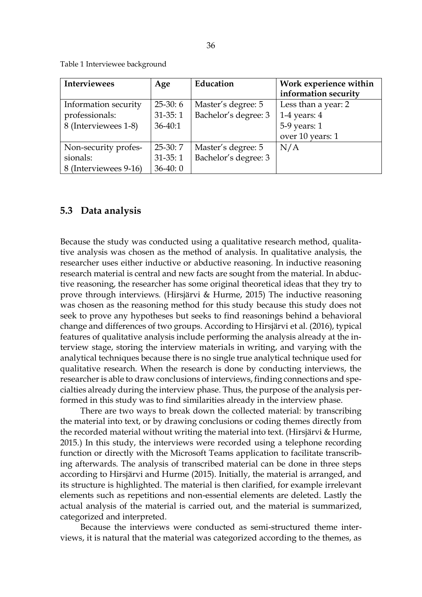<span id="page-35-0"></span>Table 1 Interviewee background

| <b>Interviewees</b>   | Age         | Education            | Work experience within |
|-----------------------|-------------|----------------------|------------------------|
|                       |             |                      | information security   |
| Information security  | $25-30:6$   | Master's degree: 5   | Less than a year: 2    |
| professionals:        | $31-35:1$   | Bachelor's degree: 3 | 1-4 years: $4$         |
| 8 (Interviewees 1-8)  | $36 - 40:1$ |                      | 5-9 years: 1           |
|                       |             |                      | over 10 years: 1       |
| Non-security profes-  | $25-30:7$   | Master's degree: 5   | N/A                    |
| sionals:              | $31-35:1$   | Bachelor's degree: 3 |                        |
| 8 (Interviewees 9-16) | $36-40:0$   |                      |                        |

### <span id="page-35-1"></span>**5.3 Data analysis**

Because the study was conducted using a qualitative research method, qualitative analysis was chosen as the method of analysis. In qualitative analysis, the researcher uses either inductive or abductive reasoning. In inductive reasoning research material is central and new facts are sought from the material. In abductive reasoning, the researcher has some original theoretical ideas that they try to prove through interviews. (Hirsjärvi & Hurme, 2015) The inductive reasoning was chosen as the reasoning method for this study because this study does not seek to prove any hypotheses but seeks to find reasonings behind a behavioral change and differences of two groups. According to Hirsjärvi et al. (2016), typical features of qualitative analysis include performing the analysis already at the interview stage, storing the interview materials in writing, and varying with the analytical techniques because there is no single true analytical technique used for qualitative research. When the research is done by conducting interviews, the researcher is able to draw conclusions of interviews, finding connections and specialties already during the interview phase. Thus, the purpose of the analysis performed in this study was to find similarities already in the interview phase.

There are two ways to break down the collected material: by transcribing the material into text, or by drawing conclusions or coding themes directly from the recorded material without writing the material into text. (Hirsjärvi & Hurme, 2015.) In this study, the interviews were recorded using a telephone recording function or directly with the Microsoft Teams application to facilitate transcribing afterwards. The analysis of transcribed material can be done in three steps according to Hirsjärvi and Hurme (2015). Initially, the material is arranged, and its structure is highlighted. The material is then clarified, for example irrelevant elements such as repetitions and non-essential elements are deleted. Lastly the actual analysis of the material is carried out, and the material is summarized, categorized and interpreted.

Because the interviews were conducted as semi-structured theme interviews, it is natural that the material was categorized according to the themes, as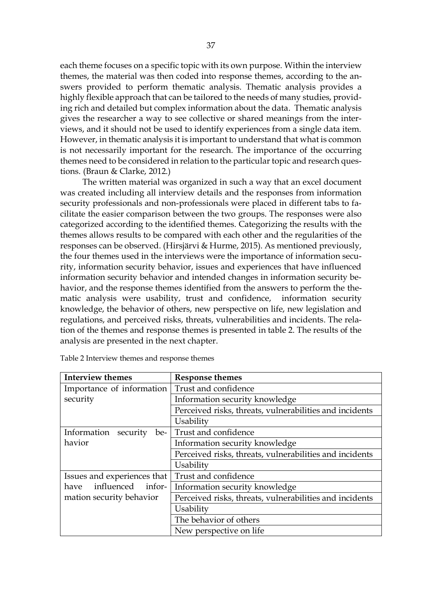each theme focuses on a specific topic with its own purpose. Within the interview themes, the material was then coded into response themes, according to the answers provided to perform thematic analysis. Thematic analysis provides a highly flexible approach that can be tailored to the needs of many studies, providing rich and detailed but complex information about the data. Thematic analysis gives the researcher a way to see collective or shared meanings from the interviews, and it should not be used to identify experiences from a single data item. However, in thematic analysis it is important to understand that what is common is not necessarily important for the research. The importance of the occurring themes need to be considered in relation to the particular topic and research questions. (Braun & Clarke, 2012.)

The written material was organized in such a way that an excel document was created including all interview details and the responses from information security professionals and non-professionals were placed in different tabs to facilitate the easier comparison between the two groups. The responses were also categorized according to the identified themes. Categorizing the results with the themes allows results to be compared with each other and the regularities of the responses can be observed. (Hirsjärvi & Hurme, 2015). As mentioned previously, the four themes used in the interviews were the importance of information security, information security behavior, issues and experiences that have influenced information security behavior and intended changes in information security behavior, and the response themes identified from the answers to perform the thematic analysis were usability, trust and confidence, information security knowledge, the behavior of others, new perspective on life, new legislation and regulations, and perceived risks, threats, vulnerabilities and incidents. The relation of the themes and response themes is presented in table 2. The results of the analysis are presented in the next chapter.

| <b>Interview themes</b>          | <b>Response themes</b>                                  |
|----------------------------------|---------------------------------------------------------|
| Importance of information        | Trust and confidence                                    |
| security                         | Information security knowledge                          |
|                                  | Perceived risks, threats, vulnerabilities and incidents |
|                                  | Usability                                               |
| Information<br>security<br>$be-$ | Trust and confidence                                    |
| havior                           | Information security knowledge                          |
|                                  | Perceived risks, threats, vulnerabilities and incidents |
|                                  | Usability                                               |
| Issues and experiences that      | Trust and confidence                                    |
| influenced infor-<br>have        | Information security knowledge                          |
| mation security behavior         | Perceived risks, threats, vulnerabilities and incidents |
|                                  | Usability                                               |
|                                  | The behavior of others                                  |
|                                  | New perspective on life.                                |

Table 2 Interview themes and response themes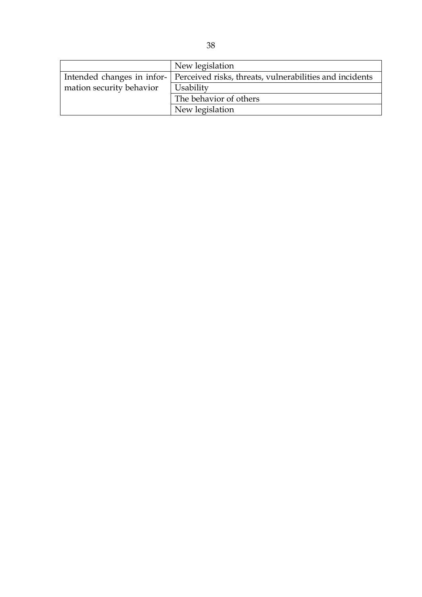|                          | New legislation                                                                      |
|--------------------------|--------------------------------------------------------------------------------------|
|                          | Intended changes in infor-   Perceived risks, threats, vulnerabilities and incidents |
| mation security behavior | Usability                                                                            |
|                          | The behavior of others                                                               |
|                          | New legislation                                                                      |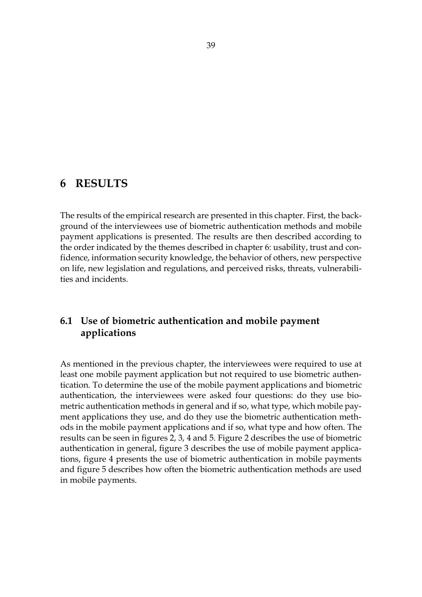# **6 RESULTS**

The results of the empirical research are presented in this chapter. First, the background of the interviewees use of biometric authentication methods and mobile payment applications is presented. The results are then described according to the order indicated by the themes described in chapter 6: usability, trust and confidence, information security knowledge, the behavior of others, new perspective on life, new legislation and regulations, and perceived risks, threats, vulnerabilities and incidents.

# **6.1 Use of biometric authentication and mobile payment applications**

As mentioned in the previous chapter, the interviewees were required to use at least one mobile payment application but not required to use biometric authentication. To determine the use of the mobile payment applications and biometric authentication, the interviewees were asked four questions: do they use biometric authentication methods in general and if so, what type, which mobile payment applications they use, and do they use the biometric authentication methods in the mobile payment applications and if so, what type and how often. The results can be seen in figures 2, 3, 4 and 5. Figure 2 describes the use of biometric authentication in general, figure 3 describes the use of mobile payment applications, figure 4 presents the use of biometric authentication in mobile payments and figure 5 describes how often the biometric authentication methods are used in mobile payments.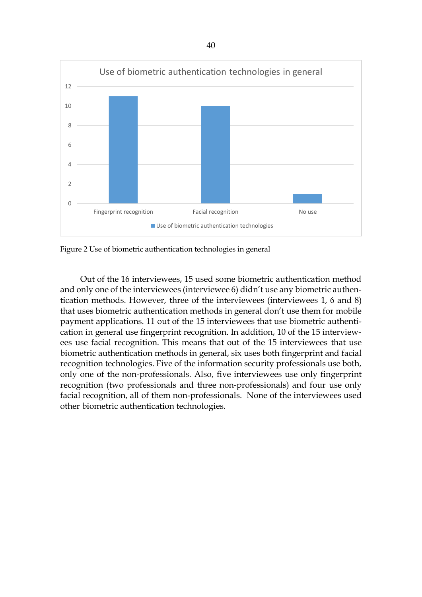

Figure 2 Use of biometric authentication technologies in general

Out of the 16 interviewees, 15 used some biometric authentication method and only one of the interviewees (interviewee 6) didn't use any biometric authentication methods. However, three of the interviewees (interviewees 1, 6 and 8) that uses biometric authentication methods in general don't use them for mobile payment applications. 11 out of the 15 interviewees that use biometric authentication in general use fingerprint recognition. In addition, 10 of the 15 interviewees use facial recognition. This means that out of the 15 interviewees that use biometric authentication methods in general, six uses both fingerprint and facial recognition technologies. Five of the information security professionals use both, only one of the non-professionals. Also, five interviewees use only fingerprint recognition (two professionals and three non-professionals) and four use only facial recognition, all of them non-professionals. None of the interviewees used other biometric authentication technologies.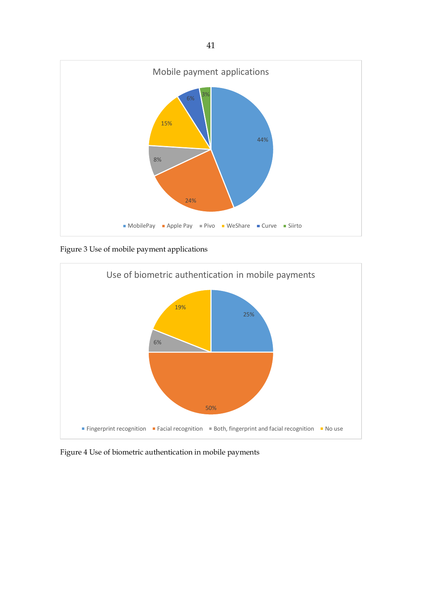

Figure 3 Use of mobile payment applications



Figure 4 Use of biometric authentication in mobile payments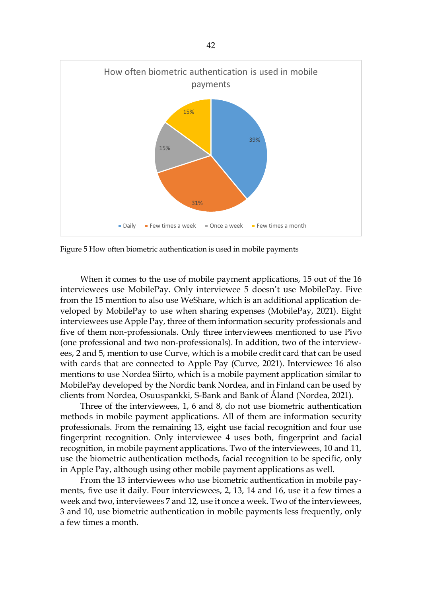

Figure 5 How often biometric authentication is used in mobile payments

When it comes to the use of mobile payment applications, 15 out of the 16 interviewees use MobilePay. Only interviewee 5 doesn't use MobilePay. Five from the 15 mention to also use WeShare, which is an additional application developed by MobilePay to use when sharing expenses (MobilePay, 2021). Eight interviewees use Apple Pay, three of them information security professionals and five of them non-professionals. Only three interviewees mentioned to use Pivo (one professional and two non-professionals). In addition, two of the interviewees, 2 and 5, mention to use Curve, which is a mobile credit card that can be used with cards that are connected to Apple Pay (Curve, 2021). Interviewee 16 also mentions to use Nordea Siirto, which is a mobile payment application similar to MobilePay developed by the Nordic bank Nordea, and in Finland can be used by clients from Nordea, Osuuspankki, S-Bank and Bank of Åland (Nordea, 2021).

Three of the interviewees, 1, 6 and 8, do not use biometric authentication methods in mobile payment applications. All of them are information security professionals. From the remaining 13, eight use facial recognition and four use fingerprint recognition. Only interviewee 4 uses both, fingerprint and facial recognition, in mobile payment applications. Two of the interviewees, 10 and 11, use the biometric authentication methods, facial recognition to be specific, only in Apple Pay, although using other mobile payment applications as well.

From the 13 interviewees who use biometric authentication in mobile payments, five use it daily. Four interviewees, 2, 13, 14 and 16, use it a few times a week and two, interviewees 7 and 12, use it once a week. Two of the interviewees, 3 and 10, use biometric authentication in mobile payments less frequently, only a few times a month.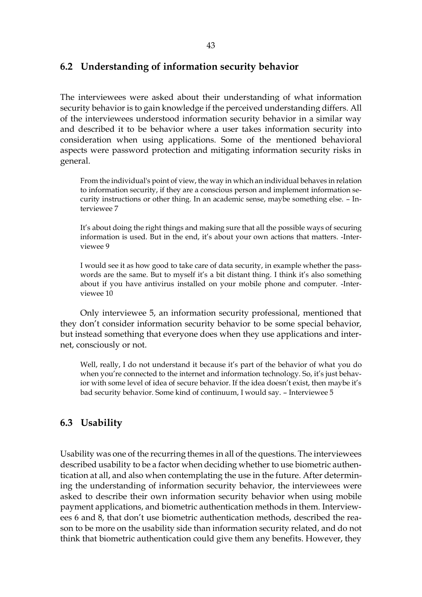### **6.2 Understanding of information security behavior**

The interviewees were asked about their understanding of what information security behavior is to gain knowledge if the perceived understanding differs. All of the interviewees understood information security behavior in a similar way and described it to be behavior where a user takes information security into consideration when using applications. Some of the mentioned behavioral aspects were password protection and mitigating information security risks in general.

From the individual's point of view, the way in which an individual behaves in relation to information security, if they are a conscious person and implement information security instructions or other thing. In an academic sense, maybe something else. – Interviewee 7

It's about doing the right things and making sure that all the possible ways of securing information is used. But in the end, it's about your own actions that matters. -Interviewee 9

I would see it as how good to take care of data security, in example whether the passwords are the same. But to myself it's a bit distant thing. I think it's also something about if you have antivirus installed on your mobile phone and computer. -Interviewee 10

Only interviewee 5, an information security professional, mentioned that they don't consider information security behavior to be some special behavior, but instead something that everyone does when they use applications and internet, consciously or not.

Well, really, I do not understand it because it's part of the behavior of what you do when you're connected to the internet and information technology. So, it's just behavior with some level of idea of secure behavior. If the idea doesn't exist, then maybe it's bad security behavior. Some kind of continuum, I would say. – Interviewee 5

# **6.3 Usability**

Usability was one of the recurring themes in all of the questions. The interviewees described usability to be a factor when deciding whether to use biometric authentication at all, and also when contemplating the use in the future. After determining the understanding of information security behavior, the interviewees were asked to describe their own information security behavior when using mobile payment applications, and biometric authentication methods in them. Interviewees 6 and 8, that don't use biometric authentication methods, described the reason to be more on the usability side than information security related, and do not think that biometric authentication could give them any benefits. However, they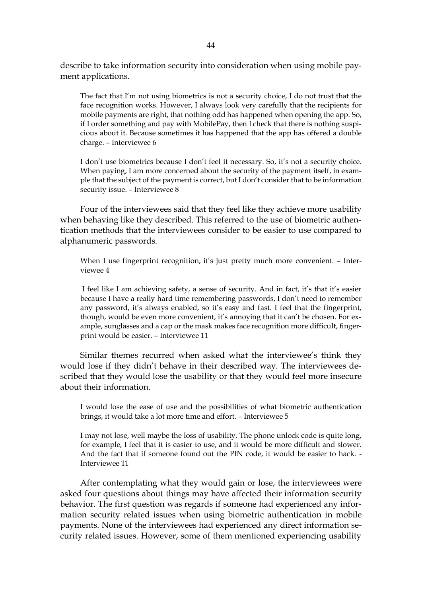describe to take information security into consideration when using mobile payment applications.

The fact that I'm not using biometrics is not a security choice, I do not trust that the face recognition works. However, I always look very carefully that the recipients for mobile payments are right, that nothing odd has happened when opening the app. So, if I order something and pay with MobilePay, then I check that there is nothing suspicious about it. Because sometimes it has happened that the app has offered a double charge. – Interviewee 6

I don't use biometrics because I don't feel it necessary. So, it's not a security choice. When paying, I am more concerned about the security of the payment itself, in example that the subject of the payment is correct, but I don't consider that to be information security issue. – Interviewee 8

Four of the interviewees said that they feel like they achieve more usability when behaving like they described. This referred to the use of biometric authentication methods that the interviewees consider to be easier to use compared to alphanumeric passwords.

When I use fingerprint recognition, it's just pretty much more convenient. - Interviewee 4

I feel like I am achieving safety, a sense of security. And in fact, it's that it's easier because I have a really hard time remembering passwords, I don't need to remember any password, it's always enabled, so it's easy and fast. I feel that the fingerprint, though, would be even more convenient, it's annoying that it can't be chosen. For example, sunglasses and a cap or the mask makes face recognition more difficult, fingerprint would be easier. – Interviewee 11

Similar themes recurred when asked what the interviewee's think they would lose if they didn't behave in their described way. The interviewees described that they would lose the usability or that they would feel more insecure about their information.

I would lose the ease of use and the possibilities of what biometric authentication brings, it would take a lot more time and effort. – Interviewee 5

I may not lose, well maybe the loss of usability. The phone unlock code is quite long, for example, I feel that it is easier to use, and it would be more difficult and slower. And the fact that if someone found out the PIN code, it would be easier to hack. - Interviewee 11

After contemplating what they would gain or lose, the interviewees were asked four questions about things may have affected their information security behavior. The first question was regards if someone had experienced any information security related issues when using biometric authentication in mobile payments. None of the interviewees had experienced any direct information security related issues. However, some of them mentioned experiencing usability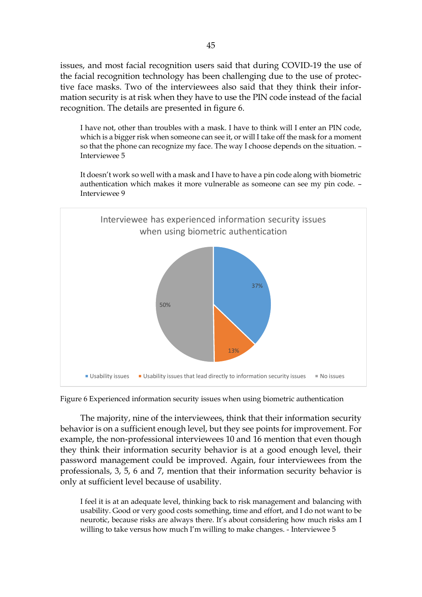issues, and most facial recognition users said that during COVID-19 the use of the facial recognition technology has been challenging due to the use of protective face masks. Two of the interviewees also said that they think their information security is at risk when they have to use the PIN code instead of the facial recognition. The details are presented in figure 6.

I have not, other than troubles with a mask. I have to think will I enter an PIN code, which is a bigger risk when someone can see it, or will I take off the mask for a moment so that the phone can recognize my face. The way I choose depends on the situation. – Interviewee 5

It doesn't work so well with a mask and I have to have a pin code along with biometric authentication which makes it more vulnerable as someone can see my pin code. – Interviewee 9



Figure 6 Experienced information security issues when using biometric authentication

The majority, nine of the interviewees, think that their information security behavior is on a sufficient enough level, but they see points for improvement. For example, the non-professional interviewees 10 and 16 mention that even though they think their information security behavior is at a good enough level, their password management could be improved. Again, four interviewees from the professionals, 3, 5, 6 and 7, mention that their information security behavior is only at sufficient level because of usability.

I feel it is at an adequate level, thinking back to risk management and balancing with usability. Good or very good costs something, time and effort, and I do not want to be neurotic, because risks are always there. It's about considering how much risks am I willing to take versus how much I'm willing to make changes. - Interviewee 5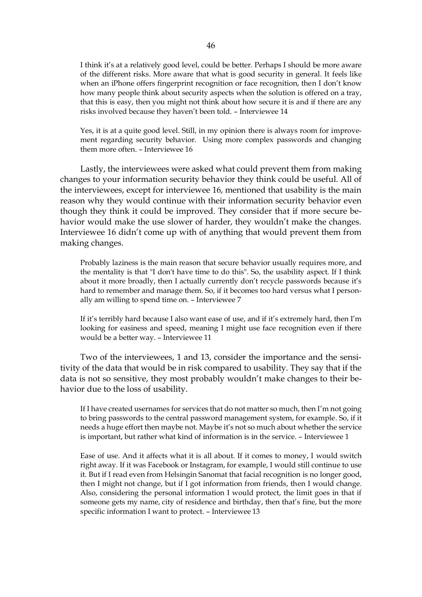I think it's at a relatively good level, could be better. Perhaps I should be more aware of the different risks. More aware that what is good security in general. It feels like when an iPhone offers fingerprint recognition or face recognition, then I don't know how many people think about security aspects when the solution is offered on a tray, that this is easy, then you might not think about how secure it is and if there are any risks involved because they haven't been told. – Interviewee 14

Yes, it is at a quite good level. Still, in my opinion there is always room for improvement regarding security behavior. Using more complex passwords and changing them more often. – Interviewee 16

Lastly, the interviewees were asked what could prevent them from making changes to your information security behavior they think could be useful. All of the interviewees, except for interviewee 16, mentioned that usability is the main reason why they would continue with their information security behavior even though they think it could be improved. They consider that if more secure behavior would make the use slower of harder, they wouldn't make the changes. Interviewee 16 didn't come up with of anything that would prevent them from making changes.

Probably laziness is the main reason that secure behavior usually requires more, and the mentality is that "I don't have time to do this". So, the usability aspect. If I think about it more broadly, then I actually currently don't recycle passwords because it's hard to remember and manage them. So, if it becomes too hard versus what I personally am willing to spend time on. – Interviewee 7

If it's terribly hard because I also want ease of use, and if it's extremely hard, then I'm looking for easiness and speed, meaning I might use face recognition even if there would be a better way. – Interviewee 11

Two of the interviewees, 1 and 13, consider the importance and the sensitivity of the data that would be in risk compared to usability. They say that if the data is not so sensitive, they most probably wouldn't make changes to their behavior due to the loss of usability.

If I have created usernames for services that do not matter so much, then I'm not going to bring passwords to the central password management system, for example. So, if it needs a huge effort then maybe not. Maybe it's not so much about whether the service is important, but rather what kind of information is in the service. – Interviewee 1

Ease of use. And it affects what it is all about. If it comes to money, I would switch right away. If it was Facebook or Instagram, for example, I would still continue to use it. But if I read even from Helsingin Sanomat that facial recognition is no longer good, then I might not change, but if I got information from friends, then I would change. Also, considering the personal information I would protect, the limit goes in that if someone gets my name, city of residence and birthday, then that's fine, but the more specific information I want to protect. – Interviewee 13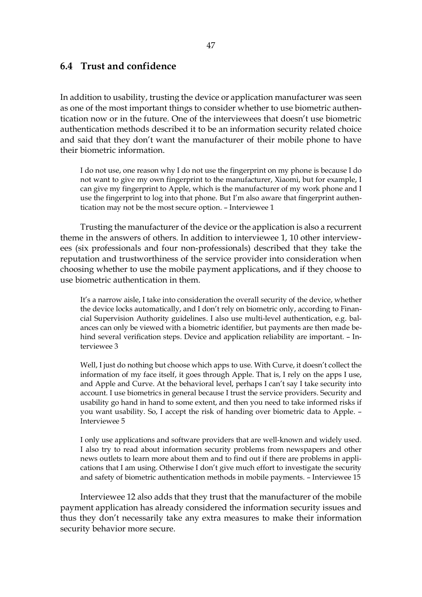#### **6.4 Trust and confidence**

In addition to usability, trusting the device or application manufacturer was seen as one of the most important things to consider whether to use biometric authentication now or in the future. One of the interviewees that doesn't use biometric authentication methods described it to be an information security related choice and said that they don't want the manufacturer of their mobile phone to have their biometric information.

I do not use, one reason why I do not use the fingerprint on my phone is because I do not want to give my own fingerprint to the manufacturer, Xiaomi, but for example, I can give my fingerprint to Apple, which is the manufacturer of my work phone and I use the fingerprint to log into that phone. But I'm also aware that fingerprint authentication may not be the most secure option. – Interviewee 1

Trusting the manufacturer of the device or the application is also a recurrent theme in the answers of others. In addition to interviewee 1, 10 other interviewees (six professionals and four non-professionals) described that they take the reputation and trustworthiness of the service provider into consideration when choosing whether to use the mobile payment applications, and if they choose to use biometric authentication in them.

It's a narrow aisle, I take into consideration the overall security of the device, whether the device locks automatically, and I don't rely on biometric only, according to Financial Supervision Authority guidelines. I also use multi-level authentication, e.g. balances can only be viewed with a biometric identifier, but payments are then made behind several verification steps. Device and application reliability are important. – Interviewee 3

Well, I just do nothing but choose which apps to use. With Curve, it doesn't collect the information of my face itself, it goes through Apple. That is, I rely on the apps I use, and Apple and Curve. At the behavioral level, perhaps I can't say I take security into account. I use biometrics in general because I trust the service providers. Security and usability go hand in hand to some extent, and then you need to take informed risks if you want usability. So, I accept the risk of handing over biometric data to Apple. – Interviewee 5

I only use applications and software providers that are well-known and widely used. I also try to read about information security problems from newspapers and other news outlets to learn more about them and to find out if there are problems in applications that I am using. Otherwise I don't give much effort to investigate the security and safety of biometric authentication methods in mobile payments. – Interviewee 15

Interviewee 12 also adds that they trust that the manufacturer of the mobile payment application has already considered the information security issues and thus they don't necessarily take any extra measures to make their information security behavior more secure.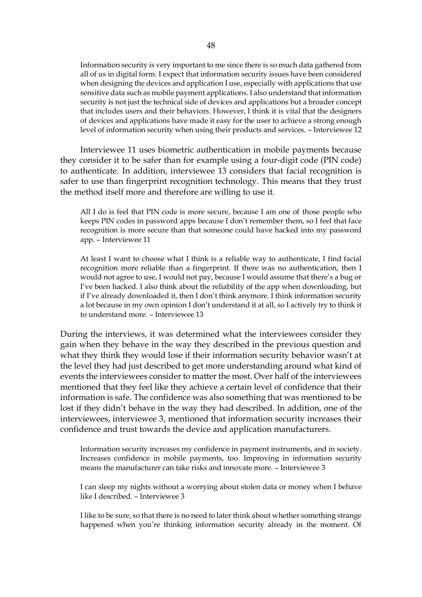Information security is very important to me since there is so much data gathered from all of us in digital form. I expect that information security issues have been considered when designing the devices and application I use, especially with applications that use sensitive data such as mobile payment applications. I also understand that information security is not just the technical side of devices and applications but a broader concept that includes users and their behaviors. However, I think it is vital that the designers of devices and applications have made it easy for the user to achieve a strong enough level of information security when using their products and services. – Interviewee 12

Interviewee 11 uses biometric authentication in mobile payments because they consider it to be safer than for example using a four-digit code (PIN code) to authenticate. In addition, interviewee 13 considers that facial recognition is safer to use than fingerprint recognition technology. This means that they trust the method itself more and therefore are willing to use it.

All I do is feel that PIN code is more secure, because I am one of those people who keeps PIN codes in password apps because I don't remember them, so I feel that face recognition is more secure than that someone could have hacked into my password app. – Interviewee 11

At least I want to choose what I think is a reliable way to authenticate, I find facial recognition more reliable than a fingerprint. If there was no authentication, then I would not agree to use, I would not pay, because I would assume that there's a bug or I've been hacked. I also think about the reliability of the app when downloading, but if I've already downloaded it, then I don't think anymore. I think information security a lot because in my own opinion I don't understand it at all, so I actively try to think it to understand more. – Interviewee 13

During the interviews, it was determined what the interviewees consider they gain when they behave in the way they described in the previous question and what they think they would lose if their information security behavior wasn't at the level they had just described to get more understanding around what kind of events the interviewees consider to matter the most. Over half of the interviewees mentioned that they feel like they achieve a certain level of confidence that their information is safe. The confidence was also something that was mentioned to be lost if they didn't behave in the way they had described. In addition, one of the interviewees, interviewee 3, mentioned that information security increases their confidence and trust towards the device and application manufacturers.

Information security increases my confidence in payment instruments, and in society. Increases confidence in mobile payments, too. Improving in information security means the manufacturer can take risks and innovate more. – Interviewee 3

I can sleep my nights without a worrying about stolen data or money when I behave like I described. – Interviewee 3

I like to be sure, so that there is no need to later think about whether something strange happened when you're thinking information security already in the moment. Of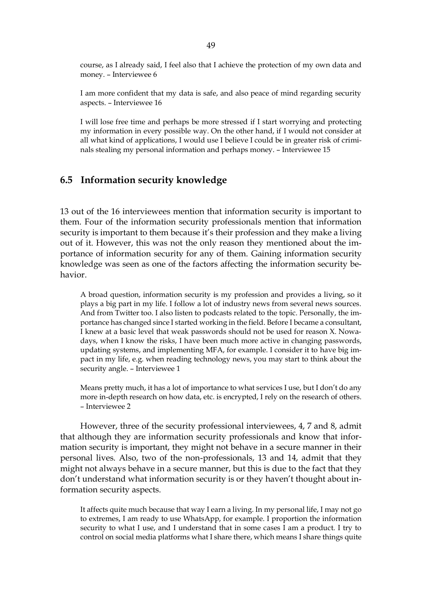course, as I already said, I feel also that I achieve the protection of my own data and money. – Interviewee 6

I am more confident that my data is safe, and also peace of mind regarding security aspects. – Interviewee 16

I will lose free time and perhaps be more stressed if I start worrying and protecting my information in every possible way. On the other hand, if I would not consider at all what kind of applications, I would use I believe I could be in greater risk of criminals stealing my personal information and perhaps money. – Interviewee 15

### **6.5 Information security knowledge**

13 out of the 16 interviewees mention that information security is important to them. Four of the information security professionals mention that information security is important to them because it's their profession and they make a living out of it. However, this was not the only reason they mentioned about the importance of information security for any of them. Gaining information security knowledge was seen as one of the factors affecting the information security behavior.

A broad question, information security is my profession and provides a living, so it plays a big part in my life. I follow a lot of industry news from several news sources. And from Twitter too. I also listen to podcasts related to the topic. Personally, the importance has changed since I started working in the field. Before I became a consultant, I knew at a basic level that weak passwords should not be used for reason X. Nowadays, when I know the risks, I have been much more active in changing passwords, updating systems, and implementing MFA, for example. I consider it to have big impact in my life, e.g. when reading technology news, you may start to think about the security angle. – Interviewee 1

Means pretty much, it has a lot of importance to what services I use, but I don't do any more in-depth research on how data, etc. is encrypted, I rely on the research of others. – Interviewee 2

However, three of the security professional interviewees, 4, 7 and 8, admit that although they are information security professionals and know that information security is important, they might not behave in a secure manner in their personal lives. Also, two of the non-professionals, 13 and 14, admit that they might not always behave in a secure manner, but this is due to the fact that they don't understand what information security is or they haven't thought about information security aspects.

It affects quite much because that way I earn a living. In my personal life, I may not go to extremes, I am ready to use WhatsApp, for example. I proportion the information security to what I use, and I understand that in some cases I am a product. I try to control on social media platforms what I share there, which means I share things quite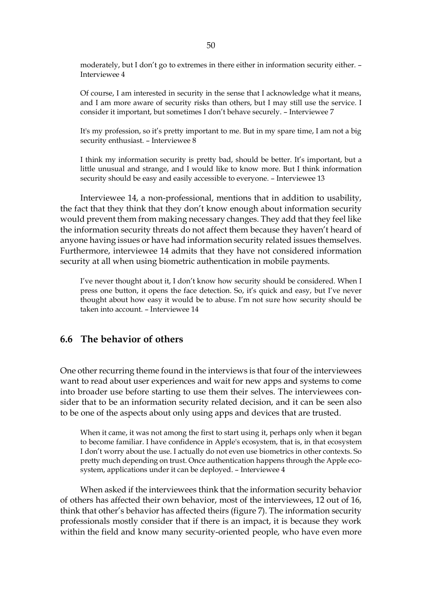moderately, but I don't go to extremes in there either in information security either. – Interviewee 4

Of course, I am interested in security in the sense that I acknowledge what it means, and I am more aware of security risks than others, but I may still use the service. I consider it important, but sometimes I don't behave securely. – Interviewee 7

It's my profession, so it's pretty important to me. But in my spare time, I am not a big security enthusiast. – Interviewee 8

I think my information security is pretty bad, should be better. It's important, but a little unusual and strange, and I would like to know more. But I think information security should be easy and easily accessible to everyone. – Interviewee 13

Interviewee 14, a non-professional, mentions that in addition to usability, the fact that they think that they don't know enough about information security would prevent them from making necessary changes. They add that they feel like the information security threats do not affect them because they haven't heard of anyone having issues or have had information security related issues themselves. Furthermore, interviewee 14 admits that they have not considered information security at all when using biometric authentication in mobile payments.

I've never thought about it, I don't know how security should be considered. When I press one button, it opens the face detection. So, it's quick and easy, but I've never thought about how easy it would be to abuse. I'm not sure how security should be taken into account. – Interviewee 14

### **6.6 The behavior of others**

One other recurring theme found in the interviews is that four of the interviewees want to read about user experiences and wait for new apps and systems to come into broader use before starting to use them their selves. The interviewees consider that to be an information security related decision, and it can be seen also to be one of the aspects about only using apps and devices that are trusted.

When it came, it was not among the first to start using it, perhaps only when it began to become familiar. I have confidence in Apple's ecosystem, that is, in that ecosystem I don't worry about the use. I actually do not even use biometrics in other contexts. So pretty much depending on trust. Once authentication happens through the Apple ecosystem, applications under it can be deployed. – Interviewee 4

When asked if the interviewees think that the information security behavior of others has affected their own behavior, most of the interviewees, 12 out of 16, think that other's behavior has affected theirs (figure 7). The information security professionals mostly consider that if there is an impact, it is because they work within the field and know many security-oriented people, who have even more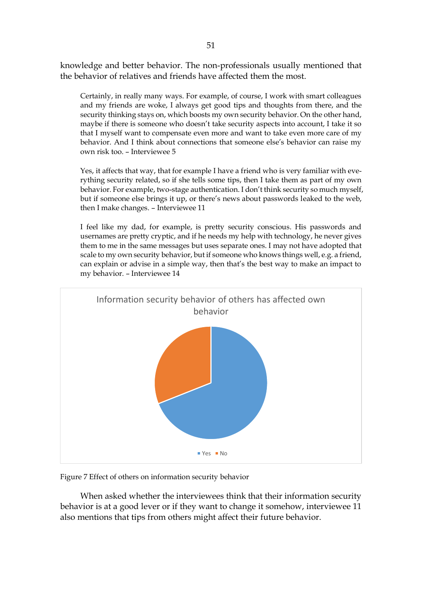knowledge and better behavior. The non-professionals usually mentioned that the behavior of relatives and friends have affected them the most.

Certainly, in really many ways. For example, of course, I work with smart colleagues and my friends are woke, I always get good tips and thoughts from there, and the security thinking stays on, which boosts my own security behavior. On the other hand, maybe if there is someone who doesn't take security aspects into account, I take it so that I myself want to compensate even more and want to take even more care of my behavior. And I think about connections that someone else's behavior can raise my own risk too. – Interviewee 5

Yes, it affects that way, that for example I have a friend who is very familiar with everything security related, so if she tells some tips, then I take them as part of my own behavior. For example, two-stage authentication. I don't think security so much myself, but if someone else brings it up, or there's news about passwords leaked to the web, then I make changes. – Interviewee 11

I feel like my dad, for example, is pretty security conscious. His passwords and usernames are pretty cryptic, and if he needs my help with technology, he never gives them to me in the same messages but uses separate ones. I may not have adopted that scale to my own security behavior, but if someone who knows things well, e.g. a friend, can explain or advise in a simple way, then that's the best way to make an impact to my behavior. – Interviewee 14



Figure 7 Effect of others on information security behavior

When asked whether the interviewees think that their information security behavior is at a good lever or if they want to change it somehow, interviewee 11 also mentions that tips from others might affect their future behavior.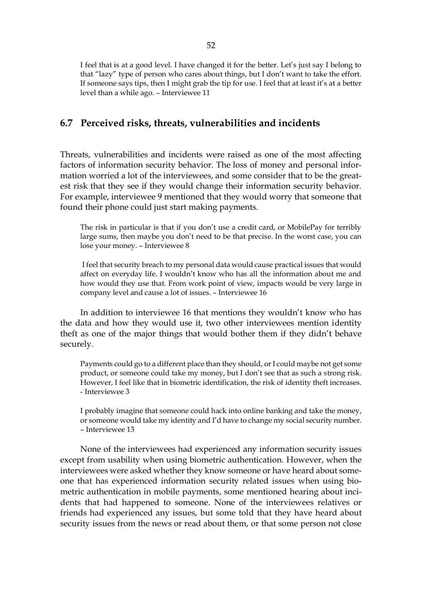I feel that is at a good level. I have changed it for the better. Let's just say I belong to that "lazy" type of person who cares about things, but I don't want to take the effort. If someone says tips, then I might grab the tip for use. I feel that at least it's at a better level than a while ago. – Interviewee 11

#### **6.7 Perceived risks, threats, vulnerabilities and incidents**

Threats, vulnerabilities and incidents were raised as one of the most affecting factors of information security behavior. The loss of money and personal information worried a lot of the interviewees, and some consider that to be the greatest risk that they see if they would change their information security behavior. For example, interviewee 9 mentioned that they would worry that someone that found their phone could just start making payments.

The risk in particular is that if you don't use a credit card, or MobilePay for terribly large sums, then maybe you don't need to be that precise. In the worst case, you can lose your money. – Interviewee 8

I feel that security breach to my personal data would cause practical issues that would affect on everyday life. I wouldn't know who has all the information about me and how would they use that. From work point of view, impacts would be very large in company level and cause a lot of issues. – Interviewee 16

In addition to interviewee 16 that mentions they wouldn't know who has the data and how they would use it, two other interviewees mention identity theft as one of the major things that would bother them if they didn't behave securely.

Payments could go to a different place than they should, or I could maybe not get some product, or someone could take my money, but I don't see that as such a strong risk. However, I feel like that in biometric identification, the risk of identity theft increases. - Interviewee 3

I probably imagine that someone could hack into online banking and take the money, or someone would take my identity and I'd have to change my social security number. – Interviewee 13

None of the interviewees had experienced any information security issues except from usability when using biometric authentication. However, when the interviewees were asked whether they know someone or have heard about someone that has experienced information security related issues when using biometric authentication in mobile payments, some mentioned hearing about incidents that had happened to someone. None of the interviewees relatives or friends had experienced any issues, but some told that they have heard about security issues from the news or read about them, or that some person not close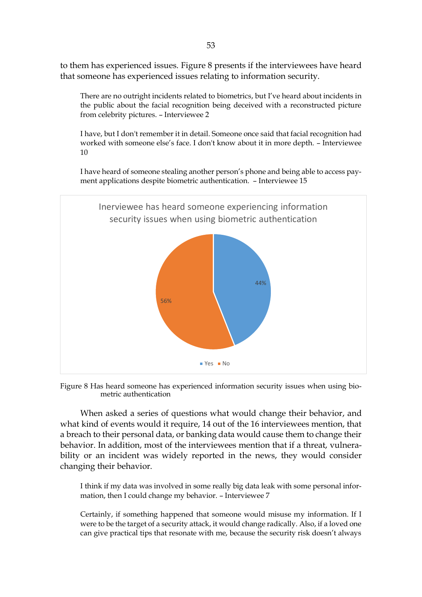to them has experienced issues. Figure 8 presents if the interviewees have heard that someone has experienced issues relating to information security.

There are no outright incidents related to biometrics, but I've heard about incidents in the public about the facial recognition being deceived with a reconstructed picture from celebrity pictures. – Interviewee 2

I have, but I don't remember it in detail. Someone once said that facial recognition had worked with someone else's face. I don't know about it in more depth. – Interviewee 10

I have heard of someone stealing another person's phone and being able to access payment applications despite biometric authentication. – Interviewee 15





When asked a series of questions what would change their behavior, and what kind of events would it require, 14 out of the 16 interviewees mention, that a breach to their personal data, or banking data would cause them to change their behavior. In addition, most of the interviewees mention that if a threat, vulnerability or an incident was widely reported in the news, they would consider changing their behavior.

I think if my data was involved in some really big data leak with some personal information, then I could change my behavior. – Interviewee 7

Certainly, if something happened that someone would misuse my information. If I were to be the target of a security attack, it would change radically. Also, if a loved one can give practical tips that resonate with me, because the security risk doesn't always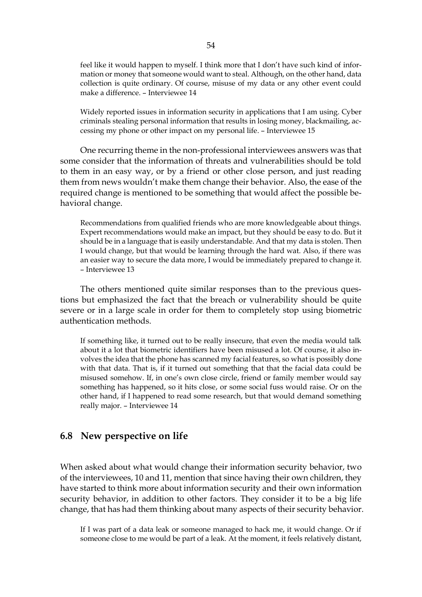feel like it would happen to myself. I think more that I don't have such kind of information or money that someone would want to steal. Although, on the other hand, data collection is quite ordinary. Of course, misuse of my data or any other event could make a difference. – Interviewee 14

Widely reported issues in information security in applications that I am using. Cyber criminals stealing personal information that results in losing money, blackmailing, accessing my phone or other impact on my personal life. – Interviewee 15

One recurring theme in the non-professional interviewees answers was that some consider that the information of threats and vulnerabilities should be told to them in an easy way, or by a friend or other close person, and just reading them from news wouldn't make them change their behavior. Also, the ease of the required change is mentioned to be something that would affect the possible behavioral change.

Recommendations from qualified friends who are more knowledgeable about things. Expert recommendations would make an impact, but they should be easy to do. But it should be in a language that is easily understandable. And that my data is stolen. Then I would change, but that would be learning through the hard wat. Also, if there was an easier way to secure the data more, I would be immediately prepared to change it. – Interviewee 13

The others mentioned quite similar responses than to the previous questions but emphasized the fact that the breach or vulnerability should be quite severe or in a large scale in order for them to completely stop using biometric authentication methods.

If something like, it turned out to be really insecure, that even the media would talk about it a lot that biometric identifiers have been misused a lot. Of course, it also involves the idea that the phone has scanned my facial features, so what is possibly done with that data. That is, if it turned out something that that the facial data could be misused somehow. If, in one's own close circle, friend or family member would say something has happened, so it hits close, or some social fuss would raise. Or on the other hand, if I happened to read some research, but that would demand something really major. – Interviewee 14

#### **6.8 New perspective on life**

When asked about what would change their information security behavior, two of the interviewees, 10 and 11, mention that since having their own children, they have started to think more about information security and their own information security behavior, in addition to other factors. They consider it to be a big life change, that has had them thinking about many aspects of their security behavior.

If I was part of a data leak or someone managed to hack me, it would change. Or if someone close to me would be part of a leak. At the moment, it feels relatively distant,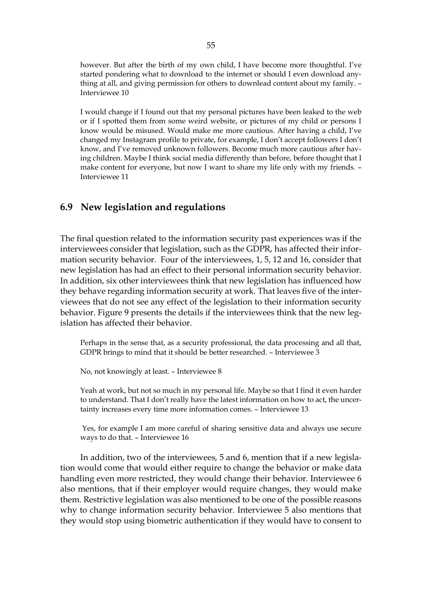however. But after the birth of my own child, I have become more thoughtful. I've started pondering what to download to the internet or should I even download anything at all, and giving permission for others to downlead content about my family. – Interviewee 10

I would change if I found out that my personal pictures have been leaked to the web or if I spotted them from some weird website, or pictures of my child or persons I know would be misused. Would make me more cautious. After having a child, I've changed my Instagram profile to private, for example, I don't accept followers I don't know, and I've removed unknown followers. Become much more cautious after having children. Maybe I think social media differently than before, before thought that I make content for everyone, but now I want to share my life only with my friends. – Interviewee 11

#### **6.9 New legislation and regulations**

The final question related to the information security past experiences was if the interviewees consider that legislation, such as the GDPR, has affected their information security behavior. Four of the interviewees, 1, 5, 12 and 16, consider that new legislation has had an effect to their personal information security behavior. In addition, six other interviewees think that new legislation has influenced how they behave regarding information security at work. That leaves five of the interviewees that do not see any effect of the legislation to their information security behavior. Figure 9 presents the details if the interviewees think that the new legislation has affected their behavior.

Perhaps in the sense that, as a security professional, the data processing and all that, GDPR brings to mind that it should be better researched. – Interviewee 3

No, not knowingly at least. – Interviewee 8

Yeah at work, but not so much in my personal life. Maybe so that I find it even harder to understand. That I don't really have the latest information on how to act, the uncertainty increases every time more information comes. – Interviewee 13

Yes, for example I am more careful of sharing sensitive data and always use secure ways to do that. – Interviewee 16

In addition, two of the interviewees, 5 and 6, mention that if a new legislation would come that would either require to change the behavior or make data handling even more restricted, they would change their behavior. Interviewee 6 also mentions, that if their employer would require changes, they would make them. Restrictive legislation was also mentioned to be one of the possible reasons why to change information security behavior. Interviewee 5 also mentions that they would stop using biometric authentication if they would have to consent to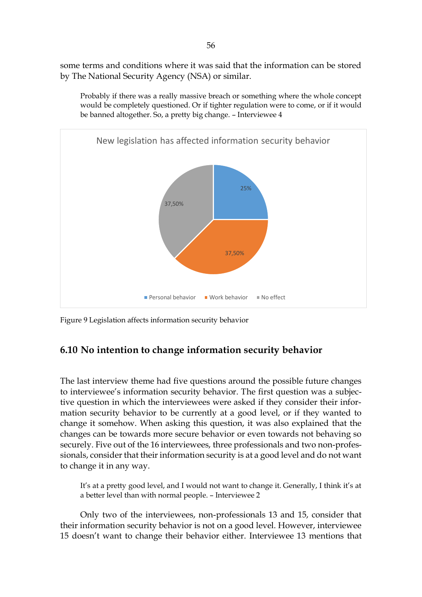some terms and conditions where it was said that the information can be stored by The National Security Agency (NSA) or similar.



Probably if there was a really massive breach or something where the whole concept would be completely questioned. Or if tighter regulation were to come, or if it would be banned altogether. So, a pretty big change. – Interviewee 4

Figure 9 Legislation affects information security behavior

### **6.10 No intention to change information security behavior**

The last interview theme had five questions around the possible future changes to interviewee's information security behavior. The first question was a subjective question in which the interviewees were asked if they consider their information security behavior to be currently at a good level, or if they wanted to change it somehow. When asking this question, it was also explained that the changes can be towards more secure behavior or even towards not behaving so securely. Five out of the 16 interviewees, three professionals and two non-professionals, consider that their information security is at a good level and do not want to change it in any way.

It's at a pretty good level, and I would not want to change it. Generally, I think it's at a better level than with normal people. – Interviewee 2

Only two of the interviewees, non-professionals 13 and 15, consider that their information security behavior is not on a good level. However, interviewee 15 doesn't want to change their behavior either. Interviewee 13 mentions that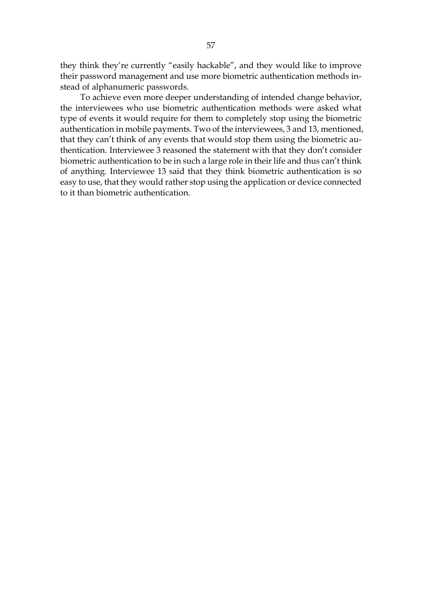they think they're currently "easily hackable", and they would like to improve their password management and use more biometric authentication methods instead of alphanumeric passwords.

To achieve even more deeper understanding of intended change behavior, the interviewees who use biometric authentication methods were asked what type of events it would require for them to completely stop using the biometric authentication in mobile payments. Two of the interviewees, 3 and 13, mentioned, that they can't think of any events that would stop them using the biometric authentication. Interviewee 3 reasoned the statement with that they don't consider biometric authentication to be in such a large role in their life and thus can't think of anything. Interviewee 13 said that they think biometric authentication is so easy to use, that they would rather stop using the application or device connected to it than biometric authentication.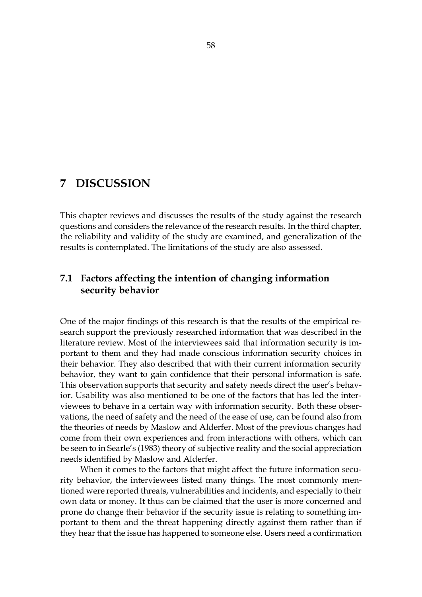# **7 DISCUSSION**

This chapter reviews and discusses the results of the study against the research questions and considers the relevance of the research results. In the third chapter, the reliability and validity of the study are examined, and generalization of the results is contemplated. The limitations of the study are also assessed.

# **7.1 Factors affecting the intention of changing information security behavior**

One of the major findings of this research is that the results of the empirical research support the previously researched information that was described in the literature review. Most of the interviewees said that information security is important to them and they had made conscious information security choices in their behavior. They also described that with their current information security behavior, they want to gain confidence that their personal information is safe. This observation supports that security and safety needs direct the user's behavior. Usability was also mentioned to be one of the factors that has led the interviewees to behave in a certain way with information security. Both these observations, the need of safety and the need of the ease of use, can be found also from the theories of needs by Maslow and Alderfer. Most of the previous changes had come from their own experiences and from interactions with others, which can be seen to in Searle's (1983) theory of subjective reality and the social appreciation needs identified by Maslow and Alderfer.

When it comes to the factors that might affect the future information security behavior, the interviewees listed many things. The most commonly mentioned were reported threats, vulnerabilities and incidents, and especially to their own data or money. It thus can be claimed that the user is more concerned and prone do change their behavior if the security issue is relating to something important to them and the threat happening directly against them rather than if they hear that the issue has happened to someone else. Users need a confirmation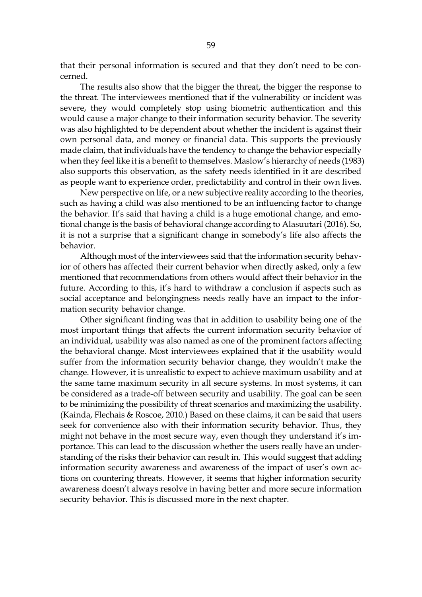that their personal information is secured and that they don't need to be concerned.

The results also show that the bigger the threat, the bigger the response to the threat. The interviewees mentioned that if the vulnerability or incident was severe, they would completely stop using biometric authentication and this would cause a major change to their information security behavior. The severity was also highlighted to be dependent about whether the incident is against their own personal data, and money or financial data. This supports the previously made claim, that individuals have the tendency to change the behavior especially when they feel like it is a benefit to themselves. Maslow's hierarchy of needs (1983) also supports this observation, as the safety needs identified in it are described as people want to experience order, predictability and control in their own lives.

New perspective on life, or a new subjective reality according to the theories, such as having a child was also mentioned to be an influencing factor to change the behavior. It's said that having a child is a huge emotional change, and emotional change is the basis of behavioral change according to Alasuutari (2016). So, it is not a surprise that a significant change in somebody's life also affects the behavior.

Although most of the interviewees said that the information security behavior of others has affected their current behavior when directly asked, only a few mentioned that recommendations from others would affect their behavior in the future. According to this, it's hard to withdraw a conclusion if aspects such as social acceptance and belongingness needs really have an impact to the information security behavior change.

Other significant finding was that in addition to usability being one of the most important things that affects the current information security behavior of an individual, usability was also named as one of the prominent factors affecting the behavioral change. Most interviewees explained that if the usability would suffer from the information security behavior change, they wouldn't make the change. However, it is unrealistic to expect to achieve maximum usability and at the same tame maximum security in all secure systems. In most systems, it can be considered as a trade-off between security and usability. The goal can be seen to be minimizing the possibility of threat scenarios and maximizing the usability. (Kainda, Flechais & Roscoe, 2010.) Based on these claims, it can be said that users seek for convenience also with their information security behavior. Thus, they might not behave in the most secure way, even though they understand it's importance. This can lead to the discussion whether the users really have an understanding of the risks their behavior can result in. This would suggest that adding information security awareness and awareness of the impact of user's own actions on countering threats. However, it seems that higher information security awareness doesn't always resolve in having better and more secure information security behavior. This is discussed more in the next chapter.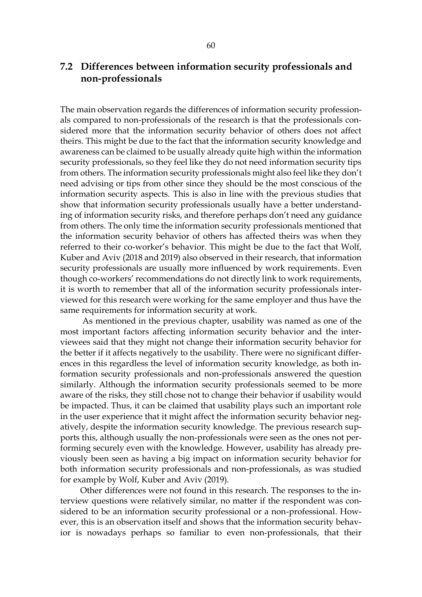## **7.2 Differences between information security professionals and non-professionals**

The main observation regards the differences of information security professionals compared to non-professionals of the research is that the professionals considered more that the information security behavior of others does not affect theirs. This might be due to the fact that the information security knowledge and awareness can be claimed to be usually already quite high within the information security professionals, so they feel like they do not need information security tips from others. The information security professionals might also feel like they don't need advising or tips from other since they should be the most conscious of the information security aspects. This is also in line with the previous studies that show that information security professionals usually have a better understanding of information security risks, and therefore perhaps don't need any guidance from others. The only time the information security professionals mentioned that the information security behavior of others has affected theirs was when they referred to their co-worker's behavior. This might be due to the fact that Wolf, Kuber and Aviv (2018 and 2019) also observed in their research, that information security professionals are usually more influenced by work requirements. Even though co-workers' recommendations do not directly link to work requirements, it is worth to remember that all of the information security professionals interviewed for this research were working for the same employer and thus have the same requirements for information security at work.

As mentioned in the previous chapter, usability was named as one of the most important factors affecting information security behavior and the interviewees said that they might not change their information security behavior for the better if it affects negatively to the usability. There were no significant differences in this regardless the level of information security knowledge, as both information security professionals and non-professionals answered the question similarly. Although the information security professionals seemed to be more aware of the risks, they still chose not to change their behavior if usability would be impacted. Thus, it can be claimed that usability plays such an important role in the user experience that it might affect the information security behavior negatively, despite the information security knowledge. The previous research supports this, although usually the non-professionals were seen as the ones not performing securely even with the knowledge. However, usability has already previously been seen as having a big impact on information security behavior for both information security professionals and non-professionals, as was studied for example by Wolf, Kuber and Aviv (2019).

Other differences were not found in this research. The responses to the interview questions were relatively similar, no matter if the respondent was considered to be an information security professional or a non-professional. However, this is an observation itself and shows that the information security behavior is nowadays perhaps so familiar to even non-professionals, that their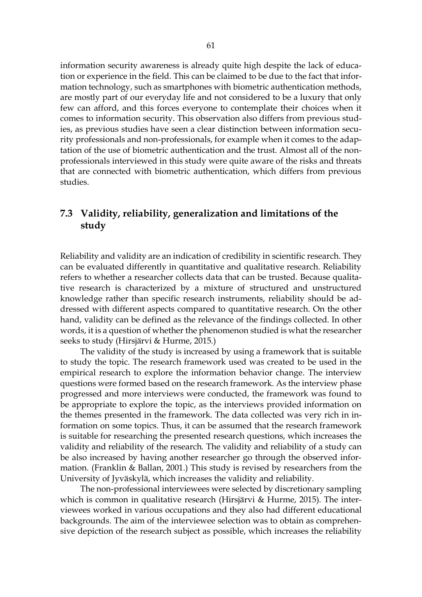information security awareness is already quite high despite the lack of education or experience in the field. This can be claimed to be due to the fact that information technology, such as smartphones with biometric authentication methods, are mostly part of our everyday life and not considered to be a luxury that only few can afford, and this forces everyone to contemplate their choices when it comes to information security. This observation also differs from previous studies, as previous studies have seen a clear distinction between information security professionals and non-professionals, for example when it comes to the adaptation of the use of biometric authentication and the trust. Almost all of the nonprofessionals interviewed in this study were quite aware of the risks and threats that are connected with biometric authentication, which differs from previous studies.

# **7.3 Validity, reliability, generalization and limitations of the study**

Reliability and validity are an indication of credibility in scientific research. They can be evaluated differently in quantitative and qualitative research. Reliability refers to whether a researcher collects data that can be trusted. Because qualitative research is characterized by a mixture of structured and unstructured knowledge rather than specific research instruments, reliability should be addressed with different aspects compared to quantitative research. On the other hand, validity can be defined as the relevance of the findings collected. In other words, it is a question of whether the phenomenon studied is what the researcher seeks to study (Hirsjärvi & Hurme, 2015.)

The validity of the study is increased by using a framework that is suitable to study the topic. The research framework used was created to be used in the empirical research to explore the information behavior change. The interview questions were formed based on the research framework. As the interview phase progressed and more interviews were conducted, the framework was found to be appropriate to explore the topic, as the interviews provided information on the themes presented in the framework. The data collected was very rich in information on some topics. Thus, it can be assumed that the research framework is suitable for researching the presented research questions, which increases the validity and reliability of the research. The validity and reliability of a study can be also increased by having another researcher go through the observed information. (Franklin & Ballan, 2001.) This study is revised by researchers from the University of Jyväskylä, which increases the validity and reliability.

The non-professional interviewees were selected by discretionary sampling which is common in qualitative research (Hirsjärvi & Hurme, 2015). The interviewees worked in various occupations and they also had different educational backgrounds. The aim of the interviewee selection was to obtain as comprehensive depiction of the research subject as possible, which increases the reliability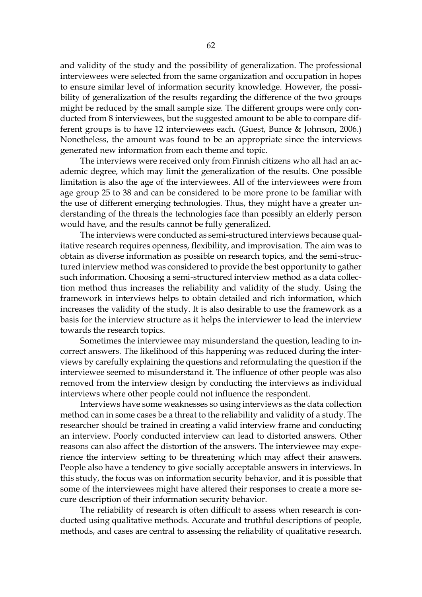and validity of the study and the possibility of generalization. The professional interviewees were selected from the same organization and occupation in hopes to ensure similar level of information security knowledge. However, the possibility of generalization of the results regarding the difference of the two groups might be reduced by the small sample size. The different groups were only conducted from 8 interviewees, but the suggested amount to be able to compare different groups is to have 12 interviewees each. (Guest, Bunce & Johnson, 2006.) Nonetheless, the amount was found to be an appropriate since the interviews generated new information from each theme and topic.

The interviews were received only from Finnish citizens who all had an academic degree, which may limit the generalization of the results. One possible limitation is also the age of the interviewees. All of the interviewees were from age group 25 to 38 and can be considered to be more prone to be familiar with the use of different emerging technologies. Thus, they might have a greater understanding of the threats the technologies face than possibly an elderly person would have, and the results cannot be fully generalized.

The interviews were conducted as semi-structured interviews because qualitative research requires openness, flexibility, and improvisation. The aim was to obtain as diverse information as possible on research topics, and the semi-structured interview method was considered to provide the best opportunity to gather such information. Choosing a semi-structured interview method as a data collection method thus increases the reliability and validity of the study. Using the framework in interviews helps to obtain detailed and rich information, which increases the validity of the study. It is also desirable to use the framework as a basis for the interview structure as it helps the interviewer to lead the interview towards the research topics.

Sometimes the interviewee may misunderstand the question, leading to incorrect answers. The likelihood of this happening was reduced during the interviews by carefully explaining the questions and reformulating the question if the interviewee seemed to misunderstand it. The influence of other people was also removed from the interview design by conducting the interviews as individual interviews where other people could not influence the respondent.

Interviews have some weaknesses so using interviews as the data collection method can in some cases be a threat to the reliability and validity of a study. The researcher should be trained in creating a valid interview frame and conducting an interview. Poorly conducted interview can lead to distorted answers. Other reasons can also affect the distortion of the answers. The interviewee may experience the interview setting to be threatening which may affect their answers. People also have a tendency to give socially acceptable answers in interviews. In this study, the focus was on information security behavior, and it is possible that some of the interviewees might have altered their responses to create a more secure description of their information security behavior.

The reliability of research is often difficult to assess when research is conducted using qualitative methods. Accurate and truthful descriptions of people, methods, and cases are central to assessing the reliability of qualitative research.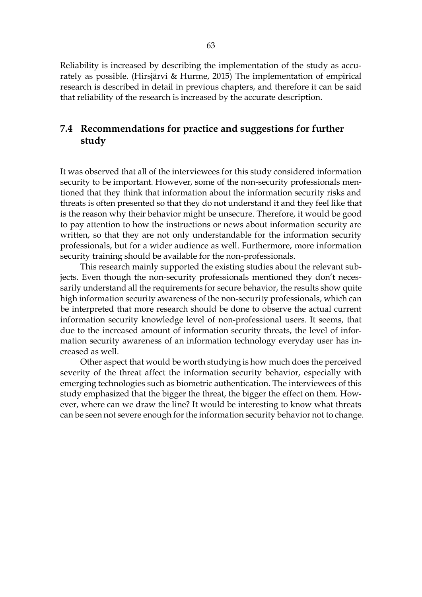Reliability is increased by describing the implementation of the study as accurately as possible. (Hirsjärvi & Hurme, 2015) The implementation of empirical research is described in detail in previous chapters, and therefore it can be said that reliability of the research is increased by the accurate description.

# **7.4 Recommendations for practice and suggestions for further study**

It was observed that all of the interviewees for this study considered information security to be important. However, some of the non-security professionals mentioned that they think that information about the information security risks and threats is often presented so that they do not understand it and they feel like that is the reason why their behavior might be unsecure. Therefore, it would be good to pay attention to how the instructions or news about information security are written, so that they are not only understandable for the information security professionals, but for a wider audience as well. Furthermore, more information security training should be available for the non-professionals.

This research mainly supported the existing studies about the relevant subjects. Even though the non-security professionals mentioned they don't necessarily understand all the requirements for secure behavior, the results show quite high information security awareness of the non-security professionals, which can be interpreted that more research should be done to observe the actual current information security knowledge level of non-professional users. It seems, that due to the increased amount of information security threats, the level of information security awareness of an information technology everyday user has increased as well.

Other aspect that would be worth studying is how much does the perceived severity of the threat affect the information security behavior, especially with emerging technologies such as biometric authentication. The interviewees of this study emphasized that the bigger the threat, the bigger the effect on them. However, where can we draw the line? It would be interesting to know what threats can be seen not severe enough for the information security behavior not to change.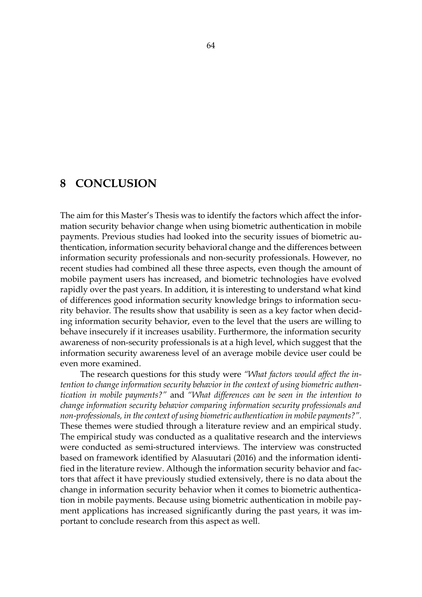## **8 CONCLUSION**

The aim for this Master's Thesis was to identify the factors which affect the information security behavior change when using biometric authentication in mobile payments. Previous studies had looked into the security issues of biometric authentication, information security behavioral change and the differences between information security professionals and non-security professionals. However, no recent studies had combined all these three aspects, even though the amount of mobile payment users has increased, and biometric technologies have evolved rapidly over the past years. In addition, it is interesting to understand what kind of differences good information security knowledge brings to information security behavior. The results show that usability is seen as a key factor when deciding information security behavior, even to the level that the users are willing to behave insecurely if it increases usability. Furthermore, the information security awareness of non-security professionals is at a high level, which suggest that the information security awareness level of an average mobile device user could be even more examined.

The research questions for this study were *"What factors would affect the intention to change information security behavior in the context of using biometric authentication in mobile payments?"* and *"What differences can be seen in the intention to change information security behavior comparing information security professionals and non-professionals, in the context of using biometric authentication in mobile payments?".* These themes were studied through a literature review and an empirical study. The empirical study was conducted as a qualitative research and the interviews were conducted as semi-structured interviews. The interview was constructed based on framework identified by Alasuutari (2016) and the information identified in the literature review. Although the information security behavior and factors that affect it have previously studied extensively, there is no data about the change in information security behavior when it comes to biometric authentication in mobile payments. Because using biometric authentication in mobile payment applications has increased significantly during the past years, it was important to conclude research from this aspect as well.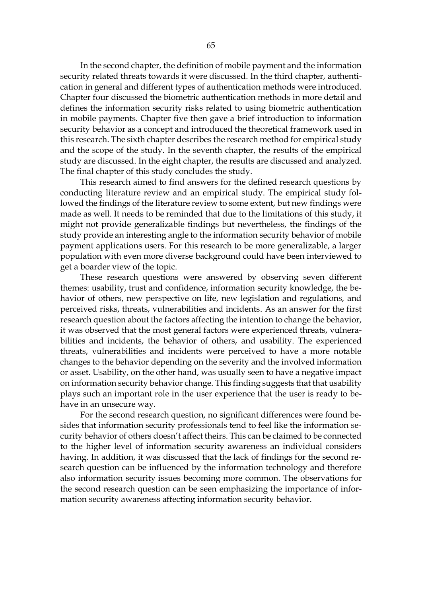In the second chapter, the definition of mobile payment and the information security related threats towards it were discussed. In the third chapter, authentication in general and different types of authentication methods were introduced. Chapter four discussed the biometric authentication methods in more detail and defines the information security risks related to using biometric authentication in mobile payments. Chapter five then gave a brief introduction to information security behavior as a concept and introduced the theoretical framework used in this research. The sixth chapter describes the research method for empirical study and the scope of the study. In the seventh chapter, the results of the empirical study are discussed. In the eight chapter, the results are discussed and analyzed. The final chapter of this study concludes the study.

This research aimed to find answers for the defined research questions by conducting literature review and an empirical study. The empirical study followed the findings of the literature review to some extent, but new findings were made as well. It needs to be reminded that due to the limitations of this study, it might not provide generalizable findings but nevertheless, the findings of the study provide an interesting angle to the information security behavior of mobile payment applications users. For this research to be more generalizable, a larger population with even more diverse background could have been interviewed to get a boarder view of the topic.

These research questions were answered by observing seven different themes: usability, trust and confidence, information security knowledge, the behavior of others, new perspective on life, new legislation and regulations, and perceived risks, threats, vulnerabilities and incidents. As an answer for the first research question about the factors affecting the intention to change the behavior, it was observed that the most general factors were experienced threats, vulnerabilities and incidents, the behavior of others, and usability. The experienced threats, vulnerabilities and incidents were perceived to have a more notable changes to the behavior depending on the severity and the involved information or asset. Usability, on the other hand, was usually seen to have a negative impact on information security behavior change. This finding suggests that that usability plays such an important role in the user experience that the user is ready to behave in an unsecure way.

For the second research question, no significant differences were found besides that information security professionals tend to feel like the information security behavior of others doesn't affect theirs. This can be claimed to be connected to the higher level of information security awareness an individual considers having. In addition, it was discussed that the lack of findings for the second research question can be influenced by the information technology and therefore also information security issues becoming more common. The observations for the second research question can be seen emphasizing the importance of information security awareness affecting information security behavior.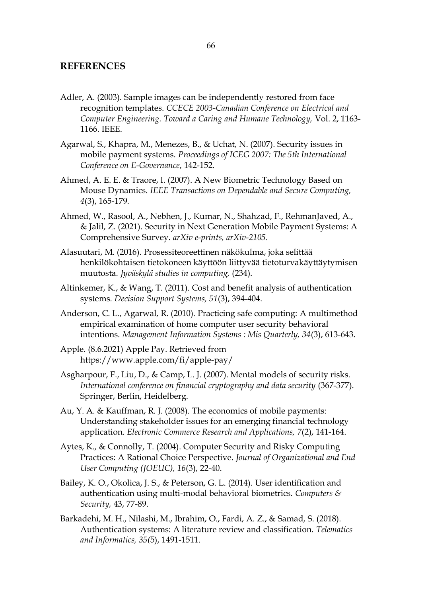#### **REFERENCES**

- Adler, A. (2003). Sample images can be independently restored from face recognition templates. *CCECE 2003-Canadian Conference on Electrical and Computer Engineering. Toward a Caring and Humane Technology,* Vol. 2, 1163- 1166. IEEE.
- Agarwal, S., Khapra, M., Menezes, B., & Uchat, N. (2007). Security issues in mobile payment systems. *Proceedings of ICEG 2007: The 5th International Conference on E-Governance*, 142-152.
- Ahmed, A. E. E. & Traore, I. (2007). A New Biometric Technology Based on Mouse Dynamics. *IEEE Transactions on Dependable and Secure Computing, 4*(3), 165-179.
- Ahmed, W., Rasool, A., Nebhen, J., Kumar, N., Shahzad, F., RehmanJaved, A., & Jalil, Z. (2021). Security in Next Generation Mobile Payment Systems: A Comprehensive Survey. *arXiv e-prints, arXiv-2105*.
- Alasuutari, M. (2016). Prosessiteoreettinen näkökulma, joka selittää henkilökohtaisen tietokoneen käyttöön liittyvää tietoturvakäyttäytymisen muutosta. *Jyväskylä studies in computing,* (234).
- Altinkemer, K., & Wang, T. (2011). Cost and benefit analysis of authentication systems. *Decision Support Systems, 51*(3), 394-404.
- Anderson, C. L., Agarwal, R. (2010). Practicing safe computing: A multimethod empirical examination of home computer user security behavioral intentions. *Management Information Systems : Mis Quarterly, 34*(3), 613-643.
- Apple. (8.6.2021) Apple Pay. Retrieved from https://www.apple.com/fi/apple-pay/
- Asgharpour, F., Liu, D., & Camp, L. J. (2007). Mental models of security risks. *International conference on financial cryptography and data security* (367-377). Springer, Berlin, Heidelberg.
- Au, Y. A. & Kauffman, R. J. (2008). The economics of mobile payments: Understanding stakeholder issues for an emerging financial technology application. *Electronic Commerce Research and Applications, 7*(2), 141-164.
- Aytes, K., & Connolly, T. (2004). Computer Security and Risky Computing Practices: A Rational Choice Perspective. *Journal of Organizational and End User Computing (JOEUC), 16*(3), 22-40.
- Bailey, K. O., Okolica, J. S., & Peterson, G. L. (2014). User identification and authentication using multi-modal behavioral biometrics. *Computers & Security,* 43, 77-89.
- Barkadehi, M. H., Nilashi, M., Ibrahim, O., Fardi, A. Z., & Samad, S. (2018). Authentication systems: A literature review and classification. *Telematics and Informatics, 35(*5), 1491-1511.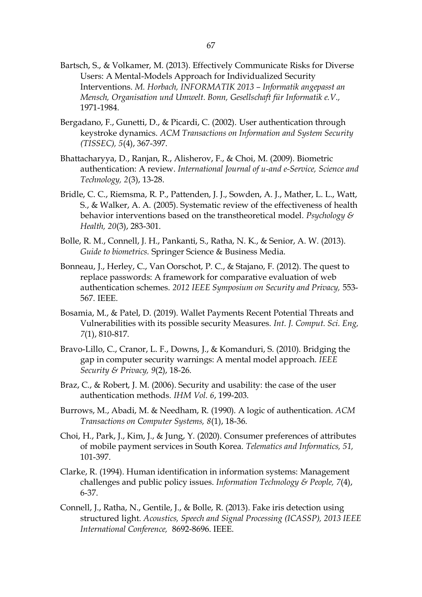- Bartsch, S., & Volkamer, M. (2013). Effectively Communicate Risks for Diverse Users: A Mental-Models Approach for Individualized Security Interventions. *M. Horbach, INFORMATIK 2013 – Informatik angepasst an Mensch, Organisation und Umwelt. Bonn, Gesellschaft für Informatik e.V.,*  1971-1984.
- Bergadano, F., Gunetti, D., & Picardi, C. (2002). User authentication through keystroke dynamics. *ACM Transactions on Information and System Security (TISSEC), 5*(4), 367-397.
- Bhattacharyya, D., Ranjan, R., Alisherov, F., & Choi, M. (2009). Biometric authentication: A review. *International Journal of u-and e-Service, Science and Technology, 2*(3), 13-28.
- Bridle, C. C., Riemsma, R. P., Pattenden, J. J., Sowden, A. J., Mather, L. L., Watt, S., & Walker, A. A. (2005). Systematic review of the effectiveness of health behavior interventions based on the transtheoretical model. *Psychology & Health, 20*(3), 283-301.
- Bolle, R. M., Connell, J. H., Pankanti, S., Ratha, N. K., & Senior, A. W. (2013). *Guide to biometrics.* Springer Science & Business Media.
- Bonneau, J., Herley, C., Van Oorschot, P. C., & Stajano, F. (2012). The quest to replace passwords: A framework for comparative evaluation of web authentication schemes. *2012 IEEE Symposium on Security and Privacy,* 553- 567. IEEE.
- Bosamia, M., & Patel, D. (2019). Wallet Payments Recent Potential Threats and Vulnerabilities with its possible security Measures. *Int. J. Comput. Sci. Eng, 7*(1), 810-817.
- Bravo-Lillo, C., Cranor, L. F., Downs, J., & Komanduri, S. (2010). Bridging the gap in computer security warnings: A mental model approach. *IEEE Security & Privacy, 9*(2), 18-26.
- Braz, C., & Robert, J. M. (2006). Security and usability: the case of the user authentication methods. *IHM Vol. 6*, 199-203.
- Burrows, M., Abadi, M. & Needham, R. (1990). A logic of authentication. *ACM Transactions on Computer Systems, 8*(1), 18-36.
- Choi, H., Park, J., Kim, J., & Jung, Y. (2020). Consumer preferences of attributes of mobile payment services in South Korea. *Telematics and Informatics, 51,*  101-397.
- Clarke, R. (1994). Human identification in information systems: Management challenges and public policy issues. *Information Technology & People, 7*(4), 6-37.
- Connell, J., Ratha, N., Gentile, J., & Bolle, R. (2013). Fake iris detection using structured light. *Acoustics, Speech and Signal Processing (ICASSP), 2013 IEEE International Conference,* 8692-8696. IEEE.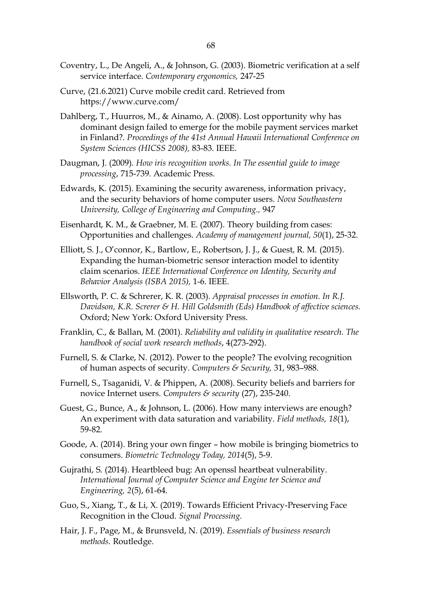- Coventry, L., De Angeli, A., & Johnson, G. (2003). Biometric verification at a self service interface. *Contemporary ergonomics,* 247-25
- Curve, (21.6.2021) Curve mobile credit card. Retrieved from https://www.curve.com/
- Dahlberg, T., Huurros, M., & Ainamo, A. (2008). Lost opportunity why has dominant design failed to emerge for the mobile payment services market in Finland?. *Proceedings of the 41st Annual Hawaii International Conference on System Sciences (HICSS 2008),* 83-83. IEEE.
- Daugman, J. (2009). *How iris recognition works. In The essential guide to image processing*, 715-739. Academic Press.
- Edwards, K. (2015). Examining the security awareness, information privacy, and the security behaviors of home computer users. *Nova Southeastern University, College of Engineering and Computing.,* 947
- Eisenhardt, K. M., & Graebner, M. E. (2007). Theory building from cases: Opportunities and challenges. *Academy of management journal, 50*(1), 25-32.
- Elliott, S. J., O'connor, K., Bartlow, E., Robertson, J. J., & Guest, R. M. (2015). Expanding the human-biometric sensor interaction model to identity claim scenarios. *IEEE International Conference on Identity, Security and Behavior Analysis (ISBA 2015),* 1-6. IEEE.
- Ellsworth, P. C. & Schrerer, K. R. (2003). *Appraisal processes in emotion. In R.J. Davidson, K.R. Screrer & H. Hill Goldsmith (Eds) Handbook of affective sciences.* Oxford; New York: Oxford University Press.
- Franklin, C., & Ballan, M. (2001). *Reliability and validity in qualitative research. The handbook of social work research methods*, 4(273-292).
- Furnell, S. & Clarke, N. (2012). Power to the people? The evolving recognition of human aspects of security. *Computers & Security,* 31, 983–988.
- Furnell, S., Tsaganidi, V. & Phippen, A. (2008). Security beliefs and barriers for novice Internet users. *Computers & security* (27), 235-240.
- Guest, G., Bunce, A., & Johnson, L. (2006). How many interviews are enough? An experiment with data saturation and variability. *Field methods, 18*(1), 59-82.
- Goode, A. (2014). Bring your own finger how mobile is bringing biometrics to consumers. *Biometric Technology Today, 2014*(5), 5-9.
- Gujrathi, S. (2014). Heartbleed bug: An openssl heartbeat vulnerability. *International Journal of Computer Science and Engine ter Science and Engineering, 2*(5), 61-64.
- Guo, S., Xiang, T., & Li, X. (2019). Towards Efficient Privacy-Preserving Face Recognition in the Cloud. *Signal Processing.*
- Hair, J. F., Page, M., & Brunsveld, N. (2019). *Essentials of business research methods.* Routledge.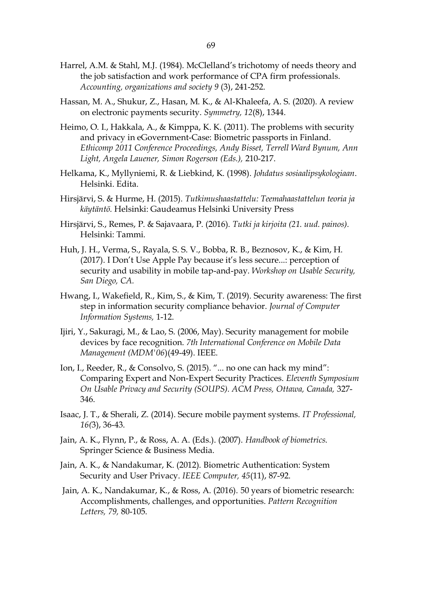- Hassan, M. A., Shukur, Z., Hasan, M. K., & Al-Khaleefa, A. S. (2020). A review on electronic payments security. *Symmetry, 12*(8), 1344.
- Heimo, O. I., Hakkala, A., & Kimppa, K. K. (2011). The problems with security and privacy in eGovernment-Case: Biometric passports in Finland. *Ethicomp 2011 Conference Proceedings, Andy Bisset, Terrell Ward Bynum, Ann Light, Angela Lauener, Simon Rogerson (Eds.),* 210-217.
- Helkama, K., Myllyniemi, R. & Liebkind, K. (1998). *Johdatus sosiaalipsykologiaan*. Helsinki. Edita.
- Hirsjärvi, S. & Hurme, H. (2015). *Tutkimushaastattelu: Teemahaastattelun teoria ja käytäntö.* Helsinki: Gaudeamus Helsinki University Press
- Hirsjärvi, S., Remes, P. & Sajavaara, P. (2016). *Tutki ja kirjoita (21. uud. painos).* Helsinki: Tammi.
- Huh, J. H., Verma, S., Rayala, S. S. V., Bobba, R. B., Beznosov, K., & Kim, H. (2017). I Don't Use Apple Pay because it's less secure...: perception of security and usability in mobile tap-and-pay. *Workshop on Usable Security, San Diego, CA.*
- Hwang, I., Wakefield, R., Kim, S., & Kim, T. (2019). Security awareness: The first step in information security compliance behavior. *Journal of Computer Information Systems,* 1-12.
- Ijiri, Y., Sakuragi, M., & Lao, S. (2006, May). Security management for mobile devices by face recognition. *7th International Conference on Mobile Data Management (MDM'06*)(49-49). IEEE.
- Ion, I., Reeder, R., & Consolvo, S. (2015). "... no one can hack my mind": Comparing Expert and Non-Expert Security Practices. *Eleventh Symposium On Usable Privacy and Security (SOUPS). ACM Press, Ottawa, Canada,* 327- 346.
- Isaac, J. T., & Sherali, Z. (2014). Secure mobile payment systems. *IT Professional, 16(*3), 36-43.
- Jain, A. K., Flynn, P., & Ross, A. A. (Eds.). (2007). *Handbook of biometrics.* Springer Science & Business Media.
- Jain, A. K., & Nandakumar, K. (2012). Biometric Authentication: System Security and User Privacy. *IEEE Computer, 45*(11), 87-92.
- Jain, A. K., Nandakumar, K., & Ross, A. (2016). 50 years of biometric research: Accomplishments, challenges, and opportunities. *Pattern Recognition Letters, 79,* 80-105.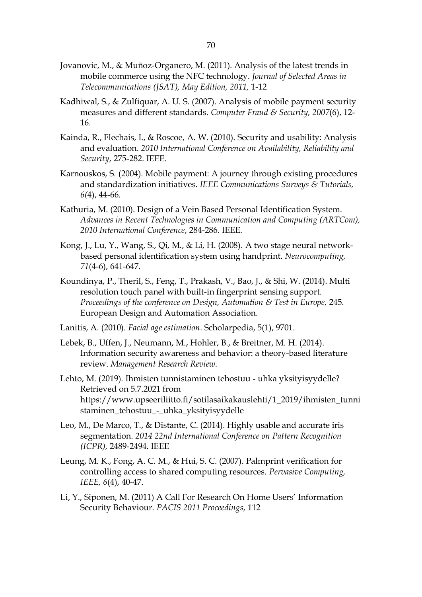- Jovanovic, M., & Muñoz-Organero, M. (2011). Analysis of the latest trends in mobile commerce using the NFC technology. *Journal of Selected Areas in Telecommunications (JSAT), May Edition, 2011,* 1-12
- Kadhiwal, S., & Zulfiquar, A. U. S. (2007). Analysis of mobile payment security measures and different standards. *Computer Fraud & Security, 2007*(6), 12- 16.
- Kainda, R., Flechais, I., & Roscoe, A. W. (2010). Security and usability: Analysis and evaluation. *2010 International Conference on Availability, Reliability and Security*, 275-282. IEEE.
- Karnouskos, S. (2004). Mobile payment: A journey through existing procedures and standardization initiatives. *IEEE Communications Surveys & Tutorials, 6(*4), 44-66.
- Kathuria, M. (2010). Design of a Vein Based Personal Identification System. *Advances in Recent Technologies in Communication and Computing (ARTCom), 2010 International Conference*, 284-286. IEEE.
- Kong, J., Lu, Y., Wang, S., Qi, M., & Li, H. (2008). A two stage neural networkbased personal identification system using handprint. *Neurocomputing, 71*(4-6), 641-647.
- Koundinya, P., Theril, S., Feng, T., Prakash, V., Bao, J., & Shi, W. (2014). Multi resolution touch panel with built-in fingerprint sensing support. *Proceedings of the conference on Design, Automation & Test in Europe,* 245. European Design and Automation Association.
- Lanitis, A. (2010). *Facial age estimation*. Scholarpedia, 5(1), 9701.
- Lebek, B., Uffen, J., Neumann, M., Hohler, B., & Breitner, M. H. (2014). Information security awareness and behavior: a theory-based literature review. *Management Research Review.*
- Lehto, M. (2019). Ihmisten tunnistaminen tehostuu uhka yksityisyydelle? Retrieved on 5.7.2021 from https://www.upseeriliitto.fi/sotilasaikakauslehti/1\_2019/ihmisten\_tunni staminen\_tehostuu\_-\_uhka\_yksityisyydelle
- Leo, M., De Marco, T., & Distante, C. (2014). Highly usable and accurate iris segmentation. *2014 22nd International Conference on Pattern Recognition (ICPR),* 2489-2494. IEEE
- Leung, M. K., Fong, A. C. M., & Hui, S. C. (2007). Palmprint verification for controlling access to shared computing resources. *Pervasive Computing, IEEE, 6*(4), 40-47.
- Li, Y., Siponen, M. (2011) A Call For Research On Home Users' Information Security Behaviour. *PACIS 2011 Proceedings*, 112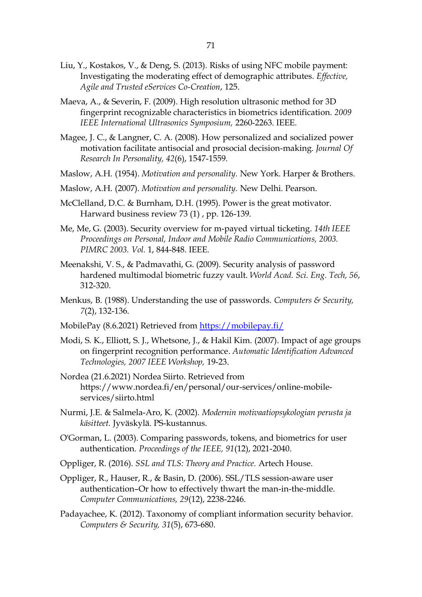- Liu, Y., Kostakos, V., & Deng, S. (2013). Risks of using NFC mobile payment: Investigating the moderating effect of demographic attributes*. Effective, Agile and Trusted eServices Co-Creation*, 125.
- Maeva, A., & Severin, F. (2009). High resolution ultrasonic method for 3D fingerprint recognizable characteristics in biometrics identification. *2009 IEEE International Ultrasonics Symposium,* 2260-2263. IEEE.
- Magee, J. C., & Langner, C. A. (2008). How personalized and socialized power motivation facilitate antisocial and prosocial decision-making. *Journal Of Research In Personality, 42*(6), 1547-1559.
- Maslow, A.H. (1954). *Motivation and personality.* New York. Harper & Brothers.
- Maslow, A.H. (2007). *Motivation and personality.* New Delhi. Pearson.
- McClelland, D.C. & Burnham, D.H. (1995). Power is the great motivator. Harward business review 73 (1) , pp. 126-139.
- Me, Me, G. (2003). Security overview for m-payed virtual ticketing. *14th IEEE Proceedings on Personal, Indoor and Mobile Radio Communications, 2003. PIMRC 2003. Vol.* 1, 844-848. IEEE.
- Meenakshi, V. S., & Padmavathi, G. (2009). Security analysis of password hardened multimodal biometric fuzzy vault. *World Acad. Sci. Eng. Tech, 56*, 312-320.
- Menkus, B. (1988). Understanding the use of passwords. *Computers & Security, 7*(2), 132-136.
- MobilePay (8.6.2021) Retrieved from<https://mobilepay.fi/>
- Modi, S. K., Elliott, S. J., Whetsone, J., & Hakil Kim. (2007). Impact of age groups on fingerprint recognition performance. *Automatic Identification Advanced Technologies, 2007 IEEE Workshop,* 19-23.
- Nordea (21.6.2021) Nordea Siirto. Retrieved from https://www.nordea.fi/en/personal/our-services/online-mobileservices/siirto.html
- Nurmi, J.E. & Salmela-Aro, K. (2002). *Modernin motivaatiopsykologian perusta ja käsitteet.* Jyväskylä. PS-kustannus.
- O'Gorman, L. (2003). Comparing passwords, tokens, and biometrics for user authentication. *Proceedings of the IEEE, 91*(12), 2021-2040.
- Oppliger, R. (2016). *SSL and TLS: Theory and Practice.* Artech House.
- Oppliger, R., Hauser, R., & Basin, D. (2006). SSL/TLS session-aware user authentication–Or how to effectively thwart the man-in-the-middle. *Computer Communications, 29*(12), 2238-2246.
- Padayachee, K. (2012). Taxonomy of compliant information security behavior. *Computers & Security, 31*(5), 673-680.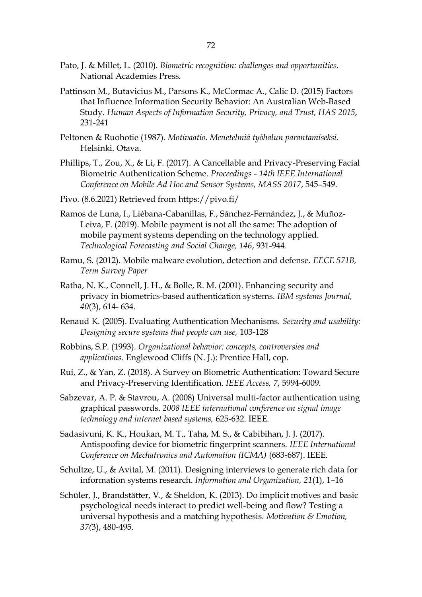- Pato, J. & Millet, L. (2010). *Biometric recognition: challenges and opportunities*. National Academies Press.
- Pattinson M., Butavicius M., Parsons K., McCormac A., Calic D. (2015) Factors that Influence Information Security Behavior: An Australian Web-Based Study. *Human Aspects of Information Security, Privacy, and Trust, HAS 2015*, 231-241
- Peltonen & Ruohotie (1987). *Motivaatio. Menetelmiä työhalun parantamiseksi.* Helsinki. Otava.
- Phillips, T., Zou, X., & Li, F. (2017). A Cancellable and Privacy-Preserving Facial Biometric Authentication Scheme. *Proceedings - 14th IEEE International Conference on Mobile Ad Hoc and Sensor Systems, MASS 2017*, 545–549.
- Pivo. (8.6.2021) Retrieved from https://pivo.fi/
- Ramos de Luna, I., Liébana-Cabanillas, F., Sánchez-Fernández, J., & Muñoz-Leiva, F. (2019). Mobile payment is not all the same: The adoption of mobile payment systems depending on the technology applied. *Technological Forecasting and Social Change, 146*, 931-944.
- Ramu, S. (2012). Mobile malware evolution, detection and defense. *EECE 571B, Term Survey Paper*
- Ratha, N. K., Connell, J. H., & Bolle, R. M. (2001). Enhancing security and privacy in biometrics-based authentication systems. *IBM systems Journal, 40*(3), 614- 634.
- Renaud K. (2005). Evaluating Authentication Mechanisms. *Security and usability: Designing secure systems that people can use,* 103-128
- Robbins, S.P. (1993)*. Organizational behavior: concepts, controversies and applications.* Englewood Cliffs (N. J.): Prentice Hall, cop.
- Rui, Z., & Yan, Z. (2018). A Survey on Biometric Authentication: Toward Secure and Privacy-Preserving Identification. *IEEE Access, 7*, 5994-6009.
- Sabzevar, A. P. & Stavrou, A. (2008) Universal multi-factor authentication using graphical passwords. *2008 IEEE international conference on signal image technology and internet based systems,* 625-632. IEEE.
- Sadasivuni, K. K., Houkan, M. T., Taha, M. S., & Cabibihan, J. J. (2017). Antispoofing device for biometric fingerprint scanners. *IEEE International Conference on Mechatronics and Automation (ICMA)* (683-687). IEEE.
- Schultze, U., & Avital, M. (2011). Designing interviews to generate rich data for information systems research. *Information and Organization, 21*(1), 1–16
- Schüler, J., Brandstätter, V., & Sheldon, K. (2013). Do implicit motives and basic psychological needs interact to predict well-being and flow? Testing a universal hypothesis and a matching hypothesis. *Motivation & Emotion, 37(*3), 480-495.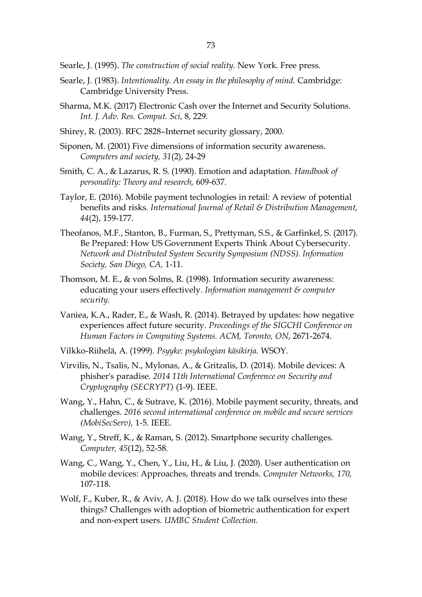Searle, J. (1995). *The construction of social reality.* New York. Free press.

- Searle, J. (1983). *Intentionality. An essay in the philosophy of mind.* Cambridge: Cambridge University Press.
- Sharma, M.K. (2017) Electronic Cash over the Internet and Security Solutions. *Int. J. Adv. Res. Comput. Sci*, 8, 229.
- Shirey, R. (2003). RFC 2828–Internet security glossary, 2000.
- Siponen, M. (2001) Five dimensions of information security awareness. *Computers and society, 31*(2), 24-29
- Smith, C. A., & Lazarus, R. S. (1990). Emotion and adaptation. *Handbook of personality: Theory and research,* 609-637.
- Taylor, E. (2016). Mobile payment technologies in retail: A review of potential benefits and risks. *International Journal of Retail & Distribution Management, 44*(2), 159-177.
- Theofanos, M.F., Stanton, B., Furman, S., Prettyman, S.S., & Garfinkel, S. (2017). Be Prepared: How US Government Experts Think About Cybersecurity. *Network and Distributed System Security Symposium (NDSS). Information Society, San Diego, CA,* 1-11.
- Thomson, M. E., & von Solms, R. (1998). Information security awareness: educating your users effectively. *Information management & computer security.*
- Vaniea, K.A., Rader, E., & Wash, R. (2014). Betrayed by updates: how negative experiences affect future security. *Proceedings of the SIGCHI Conference on Human Factors in Computing Systems. ACM, Toronto, ON*, 2671-2674.
- Vilkko-Riihelä, A. (1999). *Psyyke: psykologian käsikirja.* WSOY.
- Virvilis, N., Tsalis, N., Mylonas, A., & Gritzalis, D. (2014). Mobile devices: A phisher's paradise. *2014 11th International Conference on Security and Cryptography (SECRYPT)* (1-9). IEEE.
- Wang, Y., Hahn, C., & Sutrave, K. (2016). Mobile payment security, threats, and challenges. *2016 second international conference on mobile and secure services (MobiSecServ),* 1-5. IEEE.
- Wang, Y., Streff, K., & Raman, S. (2012). Smartphone security challenges. *Computer, 45*(12), 52-58.
- Wang, C., Wang, Y., Chen, Y., Liu, H., & Liu, J. (2020). User authentication on mobile devices: Approaches, threats and trends. *Computer Networks, 170,* 107-118.
- Wolf, F., Kuber, R., & Aviv, A. J. (2018). How do we talk ourselves into these things? Challenges with adoption of biometric authentication for expert and non-expert users. *UMBC Student Collection.*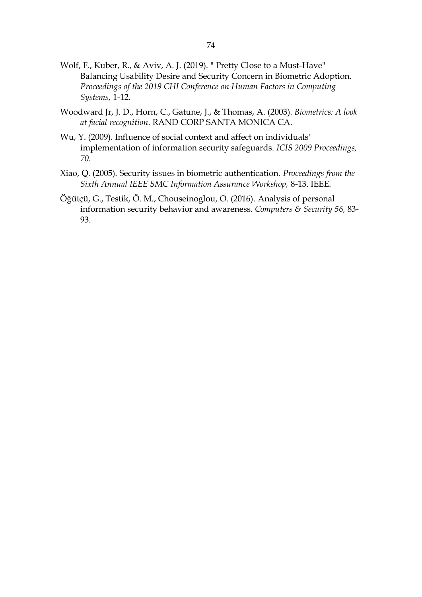- Wolf, F., Kuber, R., & Aviv, A. J. (2019). " Pretty Close to a Must-Have" Balancing Usability Desire and Security Concern in Biometric Adoption. *Proceedings of the 2019 CHI Conference on Human Factors in Computing Systems*, 1-12.
- Woodward Jr, J. D., Horn, C., Gatune, J., & Thomas, A. (2003). *Biometrics: A look at facial recognition*. RAND CORP SANTA MONICA CA.
- Wu, Y. (2009). Influence of social context and affect on individuals' implementation of information security safeguards. *ICIS 2009 Proceedings, 70*.
- Xiao, Q. (2005). Security issues in biometric authentication. *Proceedings from the Sixth Annual IEEE SMC Information Assurance Workshop,* 8-13. IEEE.
- Öğütçü, G., Testik, Ö. M., Chouseinoglou, O. (2016). Analysis of personal information security behavior and awareness. *Computers & Security 56,* 83- 93.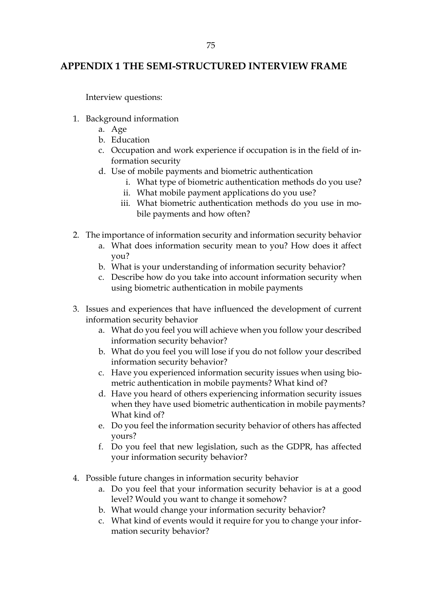## **APPENDIX 1 THE SEMI-STRUCTURED INTERVIEW FRAME**

Interview questions:

- 1. Background information
	- a. Age
	- b. Education
	- c. Occupation and work experience if occupation is in the field of information security
	- d. Use of mobile payments and biometric authentication
		- i. What type of biometric authentication methods do you use?
		- ii. What mobile payment applications do you use?
		- iii. What biometric authentication methods do you use in mobile payments and how often?
- 2. The importance of information security and information security behavior
	- a. What does information security mean to you? How does it affect you?
	- b. What is your understanding of information security behavior?
	- c. Describe how do you take into account information security when using biometric authentication in mobile payments
- 3. Issues and experiences that have influenced the development of current information security behavior
	- a. What do you feel you will achieve when you follow your described information security behavior?
	- b. What do you feel you will lose if you do not follow your described information security behavior?
	- c. Have you experienced information security issues when using biometric authentication in mobile payments? What kind of?
	- d. Have you heard of others experiencing information security issues when they have used biometric authentication in mobile payments? What kind of?
	- e. Do you feel the information security behavior of others has affected yours?
	- f. Do you feel that new legislation, such as the GDPR, has affected your information security behavior?
- 4. Possible future changes in information security behavior
	- a. Do you feel that your information security behavior is at a good level? Would you want to change it somehow?
	- b. What would change your information security behavior?
	- c. What kind of events would it require for you to change your information security behavior?